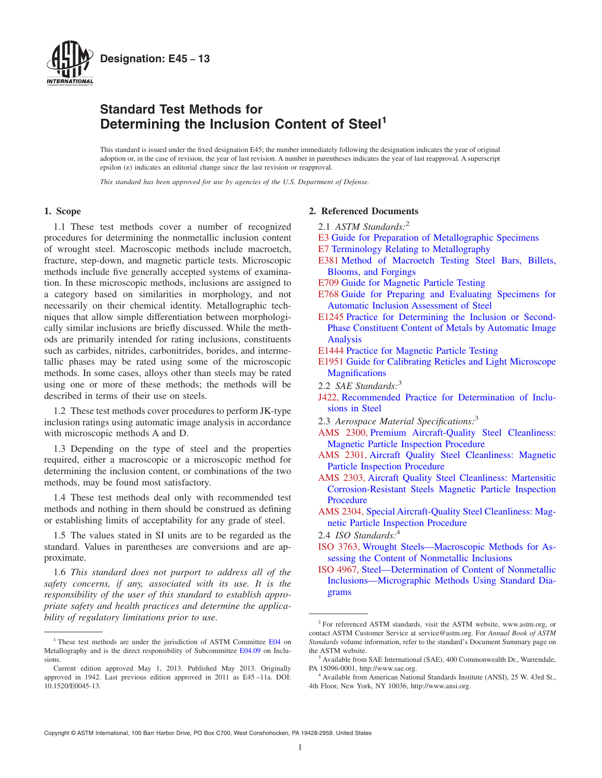<span id="page-0-0"></span>

## **Standard Test Methods for Determining the Inclusion Content of Steel<sup>1</sup>**

This standard is issued under the fixed designation E45; the number immediately following the designation indicates the year of original adoption or, in the case of revision, the year of last revision. A number in parentheses indicates the year of last reapproval. A superscript epsilon  $(\varepsilon)$  indicates an editorial change since the last revision or reapproval.

*This standard has been approved for use by agencies of the U.S. Department of Defense.*

## **1. Scope**

1.1 These test methods cover a number of recognized procedures for determining the nonmetallic inclusion content of wrought steel. Macroscopic methods include macroetch, fracture, step-down, and magnetic particle tests. Microscopic methods include five generally accepted systems of examination. In these microscopic methods, inclusions are assigned to a category based on similarities in morphology, and not necessarily on their chemical identity. Metallographic techniques that allow simple differentiation between morphologically similar inclusions are briefly discussed. While the methods are primarily intended for rating inclusions, constituents such as carbides, nitrides, carbonitrides, borides, and intermetallic phases may be rated using some of the microscopic methods. In some cases, alloys other than steels may be rated using one or more of these methods; the methods will be described in terms of their use on steels.

1.2 These test methods cover procedures to perform JK-type inclusion ratings using automatic image analysis in accordance with microscopic methods A and D.

1.3 Depending on the type of steel and the properties required, either a macroscopic or a microscopic method for determining the inclusion content, or combinations of the two methods, may be found most satisfactory.

1.4 These test methods deal only with recommended test methods and nothing in them should be construed as defining or establishing limits of acceptability for any grade of steel.

1.5 The values stated in SI units are to be regarded as the standard. Values in parentheses are conversions and are approximate.

1.6 *This standard does not purport to address all of the safety concerns, if any, associated with its use. It is the responsibility of the user of this standard to establish appropriate safety and health practices and determine the applicability of regulatory limitations prior to use.*

## **2. Referenced Documents**

- 2.1 *ASTM Standards:*<sup>2</sup>
- [E3](#page-5-0) [Guide for Preparation of Metallographic Specimens](http://dx.doi.org/10.1520/E0003)
- [E7](#page-1-0) [Terminology Relating to Metallography](http://dx.doi.org/10.1520/E0007)
- [E381](#page-2-0) [Method of Macroetch Testing Steel Bars, Billets,](http://dx.doi.org/10.1520/E0381) [Blooms, and Forgings](http://dx.doi.org/10.1520/E0381)
- [E709](#page-2-0) [Guide for Magnetic Particle Testing](http://dx.doi.org/10.1520/E0709)
- [E768](#page-5-0) [Guide for Preparing and Evaluating Specimens for](http://dx.doi.org/10.1520/E0768) [Automatic Inclusion Assessment of Steel](http://dx.doi.org/10.1520/E0768)
- [E1245](#page-2-0) [Practice for Determining the Inclusion or Second-](http://dx.doi.org/10.1520/E1245)[Phase Constituent Content of Metals by Automatic Image](http://dx.doi.org/10.1520/E1245) [Analysis](http://dx.doi.org/10.1520/E1245)
- [E1444](#page-2-0) [Practice for Magnetic Particle Testing](http://dx.doi.org/10.1520/E1444)
- [E1951](#page-5-0) [Guide for Calibrating Reticles and Light Microscope](http://dx.doi.org/10.1520/E1951) **[Magnifications](http://dx.doi.org/10.1520/E1951)**
- 2.2 *SAE Standards:*<sup>3</sup>
- [J422,](#page-2-0) Recommended Practice for Determination of Inclusions in Steel
- 2.3 *Aerospace Material Specifications:*<sup>3</sup>
- [AMS 2300,](#page-2-0) Premium Aircraft-Quality Steel Cleanliness: Magnetic Particle Inspection Procedure
- [AMS 2301,](#page-2-0) Aircraft Quality Steel Cleanliness: Magnetic Particle Inspection Procedure
- [AMS 2303,](#page-2-0) Aircraft Quality Steel Cleanliness: Martensitic Corrosion-Resistant Steels Magnetic Particle Inspection Procedure
- [AMS 2304,](#page-2-0) Special Aircraft-Quality Steel Cleanliness: Magnetic Particle Inspection Procedure
- 2.4 *ISO Standards:*<sup>4</sup>
- [ISO 3763,](#page-2-0) Wrought Steels—Macroscopic Methods for Assessing the Content of Nonmetallic Inclusions
- [ISO 4967,](#page-3-0) Steel—Determination of Content of Nonmetallic Inclusions—Micrographic Methods Using Standard Diagrams

<sup>&</sup>lt;sup>1</sup> These test methods are under the jurisdiction of ASTM Committee [E04](http://www.astm.org/COMMIT/COMMITTEE/E04.htm) on Metallography and is the direct responsibility of Subcommittee [E04.09](http://www.astm.org/COMMIT/SUBCOMMIT/E0409.htm) on Inclusions.

Current edition approved May 1, 2013. Published May 2013. Originally approved in 1942. Last previous edition approved in 2011 as E45 –11a. DOI: 10.1520/E0045-13.

<sup>2</sup> For referenced ASTM standards, visit the ASTM website, www.astm.org, or contact ASTM Customer Service at service@astm.org. For *Annual Book of ASTM Standards* volume information, refer to the standard's Document Summary page on the ASTM website.

<sup>&</sup>lt;sup>3</sup> Available from SAE International (SAE), 400 Commonwealth Dr., Warrendale, PA 15096-0001, http://www.sae.org.

<sup>4</sup> Available from American National Standards Institute (ANSI), 25 W. 43rd St., 4th Floor, New York, NY 10036, http://www.ansi.org.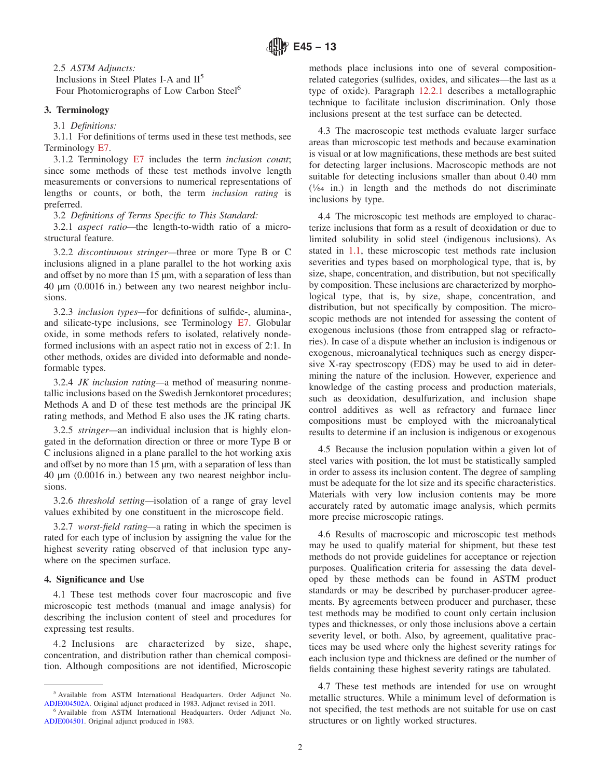<span id="page-1-0"></span>2.5 *ASTM Adjuncts:* Inclusions in Steel Plates I-A and  $II<sup>5</sup>$ Four Photomicrographs of Low Carbon Steel<sup>6</sup>

## **3. Terminology**

3.1 *Definitions:*

3.1.1 For definitions of terms used in these test methods, see Terminology E7.

3.1.2 Terminology E7 includes the term *inclusion count*; since some methods of these test methods involve length measurements or conversions to numerical representations of lengths or counts, or both, the term *inclusion rating* is preferred.

3.2 *Definitions of Terms Specific to This Standard:*

3.2.1 *aspect ratio—*the length-to-width ratio of a microstructural feature.

3.2.2 *discontinuous stringer—*three or more Type B or C inclusions aligned in a plane parallel to the hot working axis and offset by no more than 15 µm, with a separation of less than 40 µm (0.0016 in.) between any two nearest neighbor inclusions.

3.2.3 *inclusion types—*for definitions of sulfide-, alumina-, and silicate-type inclusions, see Terminology [E7.](#page-0-0) Globular oxide, in some methods refers to isolated, relatively nondeformed inclusions with an aspect ratio not in excess of 2:1. In other methods, oxides are divided into deformable and nondeformable types.

3.2.4 *JK inclusion rating—*a method of measuring nonmetallic inclusions based on the Swedish Jernkontoret procedures; Methods A and D of these test methods are the principal JK rating methods, and Method E also uses the JK rating charts.

3.2.5 *stringer—*an individual inclusion that is highly elongated in the deformation direction or three or more Type B or C inclusions aligned in a plane parallel to the hot working axis and offset by no more than 15 µm, with a separation of less than 40 µm (0.0016 in.) between any two nearest neighbor inclusions.

3.2.6 *threshold setting—*isolation of a range of gray level values exhibited by one constituent in the microscope field.

3.2.7 *worst-field rating—*a rating in which the specimen is rated for each type of inclusion by assigning the value for the highest severity rating observed of that inclusion type anywhere on the specimen surface.

## **4. Significance and Use**

4.1 These test methods cover four macroscopic and five microscopic test methods (manual and image analysis) for describing the inclusion content of steel and procedures for expressing test results.

4.2 Inclusions are characterized by size, shape, concentration, and distribution rather than chemical composition. Although compositions are not identified, Microscopic methods place inclusions into one of several compositionrelated categories (sulfides, oxides, and silicates—the last as a type of oxide). Paragraph [12.2.1](#page-8-0) describes a metallographic technique to facilitate inclusion discrimination. Only those inclusions present at the test surface can be detected.

4.3 The macroscopic test methods evaluate larger surface areas than microscopic test methods and because examination is visual or at low magnifications, these methods are best suited for detecting larger inclusions. Macroscopic methods are not suitable for detecting inclusions smaller than about 0.40 mm  $(1/64)$  in.) in length and the methods do not discriminate inclusions by type.

4.4 The microscopic test methods are employed to characterize inclusions that form as a result of deoxidation or due to limited solubility in solid steel (indigenous inclusions). As stated in [1.1,](#page-0-0) these microscopic test methods rate inclusion severities and types based on morphological type, that is, by size, shape, concentration, and distribution, but not specifically by composition. These inclusions are characterized by morphological type, that is, by size, shape, concentration, and distribution, but not specifically by composition. The microscopic methods are not intended for assessing the content of exogenous inclusions (those from entrapped slag or refractories). In case of a dispute whether an inclusion is indigenous or exogenous, microanalytical techniques such as energy dispersive X-ray spectroscopy (EDS) may be used to aid in determining the nature of the inclusion. However, experience and knowledge of the casting process and production materials, such as deoxidation, desulfurization, and inclusion shape control additives as well as refractory and furnace liner compositions must be employed with the microanalytical results to determine if an inclusion is indigenous or exogenous

4.5 Because the inclusion population within a given lot of steel varies with position, the lot must be statistically sampled in order to assess its inclusion content. The degree of sampling must be adequate for the lot size and its specific characteristics. Materials with very low inclusion contents may be more accurately rated by automatic image analysis, which permits more precise microscopic ratings.

4.6 Results of macroscopic and microscopic test methods may be used to qualify material for shipment, but these test methods do not provide guidelines for acceptance or rejection purposes. Qualification criteria for assessing the data developed by these methods can be found in ASTM product standards or may be described by purchaser-producer agreements. By agreements between producer and purchaser, these test methods may be modified to count only certain inclusion types and thicknesses, or only those inclusions above a certain severity level, or both. Also, by agreement, qualitative practices may be used where only the highest severity ratings for each inclusion type and thickness are defined or the number of fields containing these highest severity ratings are tabulated.

4.7 These test methods are intended for use on wrought metallic structures. While a minimum level of deformation is not specified, the test methods are not suitable for use on cast structures or on lightly worked structures.

<sup>5</sup> Available from ASTM International Headquarters. Order Adjunct No. [ADJE004502A.](http://www.astm.org/BOOKSTORE/ADJUNCT/ADJE004502A.htm) Original adjunct produced in 1983. Adjunct revised in 2011.

<sup>6</sup> Available from ASTM International Headquarters. Order Adjunct No. [ADJE004501.](http://www.astm.org/BOOKSTORE/ADJUNCT/ADJE004501.htm) Original adjunct produced in 1983.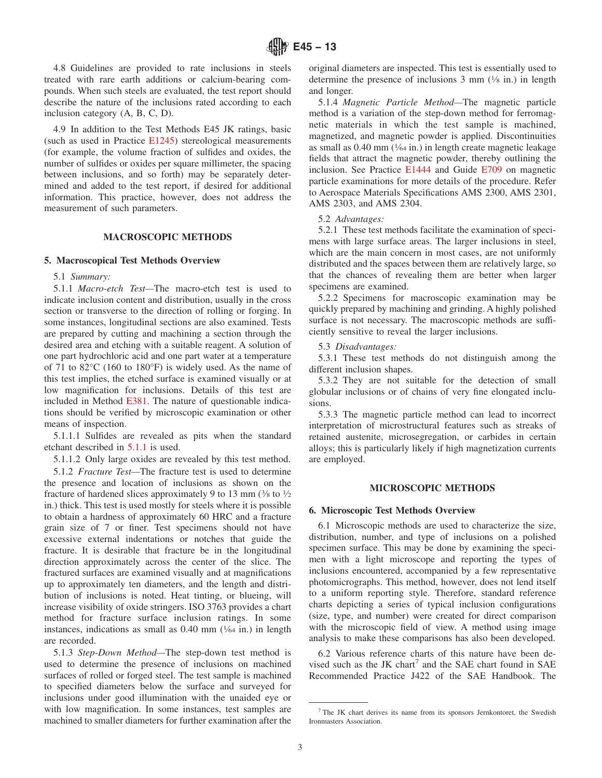<span id="page-2-0"></span>4.8 Guidelines are provided to rate inclusions in steels treated with rare earth additions or calcium-bearing compounds. When such steels are evaluated, the test report should describe the nature of the inclusions rated according to each inclusion category (A, B, C, D).

4.9 In addition to the Test Methods E45 JK ratings, basic (such as used in Practice [E1245\)](#page-8-0) stereological measurements (for example, the volume fraction of sulfides and oxides, the number of sulfides or oxides per square millimeter, the spacing between inclusions, and so forth) may be separately determined and added to the test report, if desired for additional information. This practice, however, does not address the measurement of such parameters.

#### **MACROSCOPIC METHODS**

#### **5. Macroscopical Test Methods Overview**

#### 5.1 *Summary:*

5.1.1 *Macro-etch Test—*The macro-etch test is used to indicate inclusion content and distribution, usually in the cross section or transverse to the direction of rolling or forging. In some instances, longitudinal sections are also examined. Tests are prepared by cutting and machining a section through the desired area and etching with a suitable reagent. A solution of one part hydrochloric acid and one part water at a temperature of 71 to 82°C (160 to 180°F) is widely used. As the name of this test implies, the etched surface is examined visually or at low magnification for inclusions. Details of this test are included in Method [E381.](#page-0-0) The nature of questionable indications should be verified by microscopic examination or other means of inspection.

5.1.1.1 Sulfides are revealed as pits when the standard etchant described in 5.1.1 is used.

5.1.1.2 Only large oxides are revealed by this test method.

5.1.2 *Fracture Test—*The fracture test is used to determine the presence and location of inclusions as shown on the fracture of hardened slices approximately 9 to 13 mm  $(3/8)$  to  $1/2$ in.) thick. This test is used mostly for steels where it is possible to obtain a hardness of approximately 60 HRC and a fracture grain size of 7 or finer. Test specimens should not have excessive external indentations or notches that guide the fracture. It is desirable that fracture be in the longitudinal direction approximately across the center of the slice. The fractured surfaces are examined visually and at magnifications up to approximately ten diameters, and the length and distribution of inclusions is noted. Heat tinting, or blueing, will increase visibility of oxide stringers. ISO 3763 provides a chart method for fracture surface inclusion ratings. In some instances, indications as small as  $0.40$  mm  $(\frac{1}{64}$  in.) in length are recorded.

5.1.3 *Step-Down Method—*The step-down test method is used to determine the presence of inclusions on machined surfaces of rolled or forged steel. The test sample is machined to specified diameters below the surface and surveyed for inclusions under good illumination with the unaided eye or with low magnification. In some instances, test samples are machined to smaller diameters for further examination after the original diameters are inspected. This test is essentially used to determine the presence of inclusions  $3 \text{ mm}$  ( $\frac{1}{8}$  in.) in length and longer.

5.1.4 *Magnetic Particle Method—*The magnetic particle method is a variation of the step-down method for ferromagnetic materials in which the test sample is machined, magnetized, and magnetic powder is applied. Discontinuities as small as  $0.40$  mm  $(\frac{1}{64}$  in.) in length create magnetic leakage fields that attract the magnetic powder, thereby outlining the inclusion. See Practice [E1444](#page-0-0) and Guide [E709](#page-0-0) on magnetic particle examinations for more details of the procedure. Refer to Aerospace Materials Specifications AMS 2300, AMS 2301, AMS 2303, and AMS 2304.

#### 5.2 *Advantages:*

5.2.1 These test methods facilitate the examination of specimens with large surface areas. The larger inclusions in steel, which are the main concern in most cases, are not uniformly distributed and the spaces between them are relatively large, so that the chances of revealing them are better when larger specimens are examined.

5.2.2 Specimens for macroscopic examination may be quickly prepared by machining and grinding. A highly polished surface is not necessary. The macroscopic methods are sufficiently sensitive to reveal the larger inclusions.

## 5.3 *Disadvantages:*

5.3.1 These test methods do not distinguish among the different inclusion shapes.

5.3.2 They are not suitable for the detection of small globular inclusions or of chains of very fine elongated inclusions.

5.3.3 The magnetic particle method can lead to incorrect interpretation of microstructural features such as streaks of retained austenite, microsegregation, or carbides in certain alloys; this is particularly likely if high magnetization currents are employed.

## **MICROSCOPIC METHODS**

#### **6. Microscopic Test Methods Overview**

6.1 Microscopic methods are used to characterize the size, distribution, number, and type of inclusions on a polished specimen surface. This may be done by examining the specimen with a light microscope and reporting the types of inclusions encountered, accompanied by a few representative photomicrographs. This method, however, does not lend itself to a uniform reporting style. Therefore, standard reference charts depicting a series of typical inclusion configurations (size, type, and number) were created for direct comparison with the microscopic field of view. A method using image analysis to make these comparisons has also been developed.

6.2 Various reference charts of this nature have been devised such as the JK chart<sup>7</sup> and the SAE chart found in SAE Recommended Practice J422 of the SAE Handbook. The

<sup>7</sup> The JK chart derives its name from its sponsors Jernkontoret, the Swedish Ironmasters Association.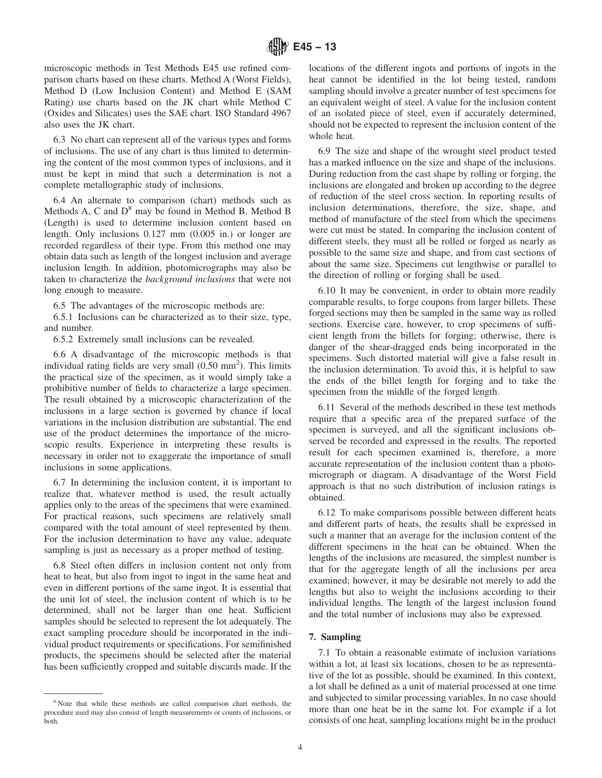<span id="page-3-0"></span>microscopic methods in Test Methods E45 use refined comparison charts based on these charts. Method A (Worst Fields), Method D (Low Inclusion Content) and Method E (SAM Rating) use charts based on the JK chart while Method C (Oxides and Silicates) uses the SAE chart. ISO Standard 4967 also uses the JK chart.

6.3 No chart can represent all of the various types and forms of inclusions. The use of any chart is thus limited to determining the content of the most common types of inclusions, and it must be kept in mind that such a determination is not a complete metallographic study of inclusions.

6.4 An alternate to comparison (chart) methods such as Methods A, C and  $D^8$  may be found in Method B. Method B (Length) is used to determine inclusion content based on length. Only inclusions 0.127 mm (0.005 in.) or longer are recorded regardless of their type. From this method one may obtain data such as length of the longest inclusion and average inclusion length. In addition, photomicrographs may also be taken to characterize the *background inclusions* that were not long enough to measure.

6.5 The advantages of the microscopic methods are:

6.5.1 Inclusions can be characterized as to their size, type, and number.

6.5.2 Extremely small inclusions can be revealed.

6.6 A disadvantage of the microscopic methods is that individual rating fields are very small  $(0.50 \text{ mm}^2)$ . This limits the practical size of the specimen, as it would simply take a prohibitive number of fields to characterize a large specimen. The result obtained by a microscopic characterization of the inclusions in a large section is governed by chance if local variations in the inclusion distribution are substantial. The end use of the product determines the importance of the microscopic results. Experience in interpreting these results is necessary in order not to exaggerate the importance of small inclusions in some applications.

6.7 In determining the inclusion content, it is important to realize that, whatever method is used, the result actually applies only to the areas of the specimens that were examined. For practical reasons, such specimens are relatively small compared with the total amount of steel represented by them. For the inclusion determination to have any value, adequate sampling is just as necessary as a proper method of testing.

6.8 Steel often differs in inclusion content not only from heat to heat, but also from ingot to ingot in the same heat and even in different portions of the same ingot. It is essential that the unit lot of steel, the inclusion content of which is to be determined, shall not be larger than one heat. Sufficient samples should be selected to represent the lot adequately. The exact sampling procedure should be incorporated in the individual product requirements or specifications. For semifinished products, the specimens should be selected after the material has been sufficiently cropped and suitable discards made. If the

<sup>8</sup> Note that while these methods are called comparison chart methods, the procedure used may also consist of length measurements or counts of inclusions, or both.

locations of the different ingots and portions of ingots in the heat cannot be identified in the lot being tested, random sampling should involve a greater number of test specimens for an equivalent weight of steel. A value for the inclusion content of an isolated piece of steel, even if accurately determined, should not be expected to represent the inclusion content of the whole heat.

6.9 The size and shape of the wrought steel product tested has a marked influence on the size and shape of the inclusions. During reduction from the cast shape by rolling or forging, the inclusions are elongated and broken up according to the degree of reduction of the steel cross section. In reporting results of inclusion determinations, therefore, the size, shape, and method of manufacture of the steel from which the specimens were cut must be stated. In comparing the inclusion content of different steels, they must all be rolled or forged as nearly as possible to the same size and shape, and from cast sections of about the same size. Specimens cut lengthwise or parallel to the direction of rolling or forging shall be used.

6.10 It may be convenient, in order to obtain more readily comparable results, to forge coupons from larger billets. These forged sections may then be sampled in the same way as rolled sections. Exercise care, however, to crop specimens of sufficient length from the billets for forging; otherwise, there is danger of the shear-dragged ends being incorporated in the specimens. Such distorted material will give a false result in the inclusion determination. To avoid this, it is helpful to saw the ends of the billet length for forging and to take the specimen from the middle of the forged length.

6.11 Several of the methods described in these test methods require that a specific area of the prepared surface of the specimen is surveyed, and all the significant inclusions observed be recorded and expressed in the results. The reported result for each specimen examined is, therefore, a more accurate representation of the inclusion content than a photomicrograph or diagram. A disadvantage of the Worst Field approach is that no such distribution of inclusion ratings is obtained.

6.12 To make comparisons possible between different heats and different parts of heats, the results shall be expressed in such a manner that an average for the inclusion content of the different specimens in the heat can be obtained. When the lengths of the inclusions are measured, the simplest number is that for the aggregate length of all the inclusions per area examined; however, it may be desirable not merely to add the lengths but also to weight the inclusions according to their individual lengths. The length of the largest inclusion found and the total number of inclusions may also be expressed.

## **7. Sampling**

7.1 To obtain a reasonable estimate of inclusion variations within a lot, at least six locations, chosen to be as representative of the lot as possible, should be examined. In this context, a lot shall be defined as a unit of material processed at one time and subjected to similar processing variables. In no case should more than one heat be in the same lot. For example if a lot consists of one heat, sampling locations might be in the product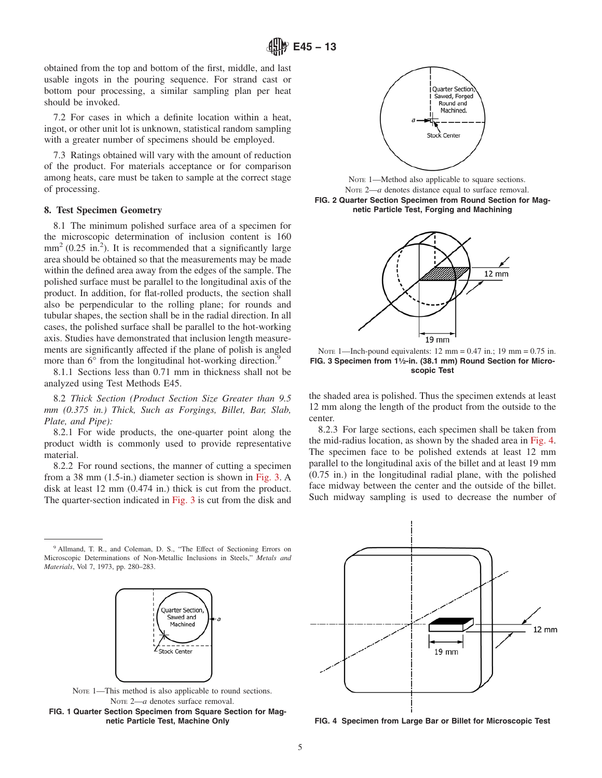obtained from the top and bottom of the first, middle, and last usable ingots in the pouring sequence. For strand cast or bottom pour processing, a similar sampling plan per heat should be invoked.

7.2 For cases in which a definite location within a heat, ingot, or other unit lot is unknown, statistical random sampling with a greater number of specimens should be employed.

7.3 Ratings obtained will vary with the amount of reduction of the product. For materials acceptance or for comparison among heats, care must be taken to sample at the correct stage of processing.

#### **8. Test Specimen Geometry**

8.1 The minimum polished surface area of a specimen for the microscopic determination of inclusion content is 160  $mm<sup>2</sup>$  (0.25 in.<sup>2</sup>). It is recommended that a significantly large area should be obtained so that the measurements may be made within the defined area away from the edges of the sample. The polished surface must be parallel to the longitudinal axis of the product. In addition, for flat-rolled products, the section shall also be perpendicular to the rolling plane; for rounds and tubular shapes, the section shall be in the radial direction. In all cases, the polished surface shall be parallel to the hot-working axis. Studies have demonstrated that inclusion length measurements are significantly affected if the plane of polish is angled more than 6° from the longitudinal hot-working direction.<sup>9</sup>

8.1.1 Sections less than 0.71 mm in thickness shall not be analyzed using Test Methods E45.

8.2 *Thick Section (Product Section Size Greater than 9.5 mm (0.375 in.) Thick, Such as Forgings, Billet, Bar, Slab, Plate, and Pipe):*

8.2.1 For wide products, the one-quarter point along the product width is commonly used to provide representative material.

8.2.2 For round sections, the manner of cutting a specimen from a 38 mm (1.5-in.) diameter section is shown in Fig. 3. A disk at least 12 mm (0.474 in.) thick is cut from the product. The quarter-section indicated in Fig. 3 is cut from the disk and





NOTE 1—This method is also applicable to round sections. NOTE 2-a denotes surface removal. **FIG. 1 Quarter Section Specimen from Square Section for Magnetic Particle Test, Machine Only**



NOTE 1—Method also applicable to square sections. Note 2—*a* denotes distance equal to surface removal. **FIG. 2 Quarter Section Specimen from Round Section for Magnetic Particle Test, Forging and Machining**



NOTE 1—Inch-pound equivalents:  $12 \text{ mm} = 0.47 \text{ in.}; 19 \text{ mm} = 0.75 \text{ in.}$ FIG. 3 Specimen from 1<sup>1</sup>/<sub>2</sub>-in. (38.1 mm) Round Section for Micro**scopic Test**

the shaded area is polished. Thus the specimen extends at least 12 mm along the length of the product from the outside to the center.

8.2.3 For large sections, each specimen shall be taken from the mid-radius location, as shown by the shaded area in Fig. 4. The specimen face to be polished extends at least 12 mm parallel to the longitudinal axis of the billet and at least 19 mm (0.75 in.) in the longitudinal radial plane, with the polished face midway between the center and the outside of the billet. Such midway sampling is used to decrease the number of



**FIG. 4 Specimen from Large Bar or Billet for Microscopic Test**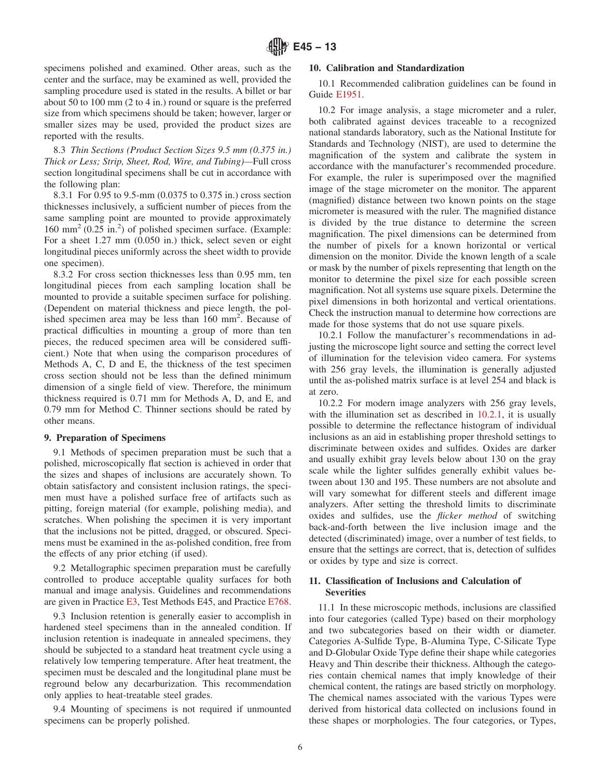<span id="page-5-0"></span>specimens polished and examined. Other areas, such as the center and the surface, may be examined as well, provided the sampling procedure used is stated in the results. A billet or bar about 50 to 100 mm (2 to 4 in.) round or square is the preferred size from which specimens should be taken; however, larger or smaller sizes may be used, provided the product sizes are reported with the results.

8.3 *Thin Sections (Product Section Sizes 9.5 mm (0.375 in.) Thick or Less; Strip, Sheet, Rod, Wire, and Tubing)—*Full cross section longitudinal specimens shall be cut in accordance with the following plan:

8.3.1 For 0.95 to 9.5-mm (0.0375 to 0.375 in.) cross section thicknesses inclusively, a sufficient number of pieces from the same sampling point are mounted to provide approximately 160 mm<sup>2</sup> (0.25 in.<sup>2</sup>) of polished specimen surface. (Example: For a sheet 1.27 mm (0.050 in.) thick, select seven or eight longitudinal pieces uniformly across the sheet width to provide one specimen).

8.3.2 For cross section thicknesses less than 0.95 mm, ten longitudinal pieces from each sampling location shall be mounted to provide a suitable specimen surface for polishing. (Dependent on material thickness and piece length, the polished specimen area may be less than 160 mm<sup>2</sup>. Because of practical difficulties in mounting a group of more than ten pieces, the reduced specimen area will be considered sufficient.) Note that when using the comparison procedures of Methods A, C, D and E, the thickness of the test specimen cross section should not be less than the defined minimum dimension of a single field of view. Therefore, the minimum thickness required is 0.71 mm for Methods A, D, and E, and 0.79 mm for Method C. Thinner sections should be rated by other means.

#### **9. Preparation of Specimens**

9.1 Methods of specimen preparation must be such that a polished, microscopically flat section is achieved in order that the sizes and shapes of inclusions are accurately shown. To obtain satisfactory and consistent inclusion ratings, the specimen must have a polished surface free of artifacts such as pitting, foreign material (for example, polishing media), and scratches. When polishing the specimen it is very important that the inclusions not be pitted, dragged, or obscured. Specimens must be examined in the as-polished condition, free from the effects of any prior etching (if used).

9.2 Metallographic specimen preparation must be carefully controlled to produce acceptable quality surfaces for both manual and image analysis. Guidelines and recommendations are given in Practice [E3,](#page-0-0) Test Methods E45, and Practice [E768.](#page-18-0)

9.3 Inclusion retention is generally easier to accomplish in hardened steel specimens than in the annealed condition. If inclusion retention is inadequate in annealed specimens, they should be subjected to a standard heat treatment cycle using a relatively low tempering temperature. After heat treatment, the specimen must be descaled and the longitudinal plane must be reground below any decarburization. This recommendation only applies to heat-treatable steel grades.

9.4 Mounting of specimens is not required if unmounted specimens can be properly polished.

## **10. Calibration and Standardization**

10.1 Recommended calibration guidelines can be found in Guide [E1951.](#page-0-0)

10.2 For image analysis, a stage micrometer and a ruler, both calibrated against devices traceable to a recognized national standards laboratory, such as the National Institute for Standards and Technology (NIST), are used to determine the magnification of the system and calibrate the system in accordance with the manufacturer's recommended procedure. For example, the ruler is superimposed over the magnified image of the stage micrometer on the monitor. The apparent (magnified) distance between two known points on the stage micrometer is measured with the ruler. The magnified distance is divided by the true distance to determine the screen magnification. The pixel dimensions can be determined from the number of pixels for a known horizontal or vertical dimension on the monitor. Divide the known length of a scale or mask by the number of pixels representing that length on the monitor to determine the pixel size for each possible screen magnification. Not all systems use square pixels. Determine the pixel dimensions in both horizontal and vertical orientations. Check the instruction manual to determine how corrections are made for those systems that do not use square pixels.

10.2.1 Follow the manufacturer's recommendations in adjusting the microscope light source and setting the correct level of illumination for the television video camera. For systems with 256 gray levels, the illumination is generally adjusted until the as-polished matrix surface is at level 254 and black is at zero.

10.2.2 For modern image analyzers with 256 gray levels, with the illumination set as described in 10.2.1, it is usually possible to determine the reflectance histogram of individual inclusions as an aid in establishing proper threshold settings to discriminate between oxides and sulfides. Oxides are darker and usually exhibit gray levels below about 130 on the gray scale while the lighter sulfides generally exhibit values between about 130 and 195. These numbers are not absolute and will vary somewhat for different steels and different image analyzers. After setting the threshold limits to discriminate oxides and sulfides, use the *flicker method* of switching back-and-forth between the live inclusion image and the detected (discriminated) image, over a number of test fields, to ensure that the settings are correct, that is, detection of sulfides or oxides by type and size is correct.

### **11. Classification of Inclusions and Calculation of Severities**

11.1 In these microscopic methods, inclusions are classified into four categories (called Type) based on their morphology and two subcategories based on their width or diameter. Categories A-Sulfide Type, B-Alumina Type, C-Silicate Type and D-Globular Oxide Type define their shape while categories Heavy and Thin describe their thickness. Although the categories contain chemical names that imply knowledge of their chemical content, the ratings are based strictly on morphology. The chemical names associated with the various Types were derived from historical data collected on inclusions found in these shapes or morphologies. The four categories, or Types,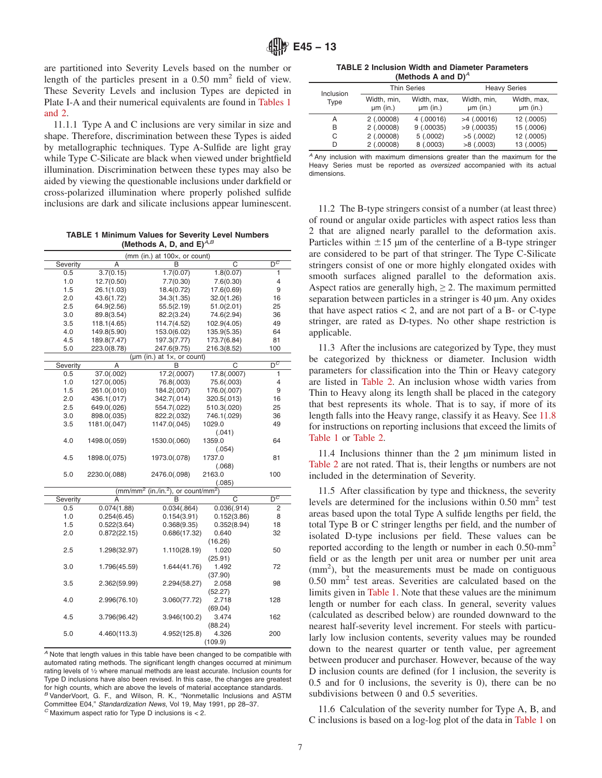<span id="page-6-0"></span>are partitioned into Severity Levels based on the number or length of the particles present in a 0.50 mm2 field of view. These Severity Levels and inclusion Types are depicted in Plate I-A and their numerical equivalents are found in Tables 1 and 2.

11.1.1 Type A and C inclusions are very similar in size and shape. Therefore, discrimination between these Types is aided by metallographic techniques. Type A-Sulfide are light gray while Type C-Silicate are black when viewed under brightfield illumination. Discrimination between these types may also be aided by viewing the questionable inclusions under darkfield or cross-polarized illumination where properly polished sulfide inclusions are dark and silicate inclusions appear luminescent. 11.2 The B-type stringers consist of a number (at least three)

**TABLE 1 Minimum Values for Severity Level Numbers (Methods A, D, and E)** $^{\tilde{A}, B}$ 

|          |                | (mm (in.) at 100x, or count)                              |             |                  |
|----------|----------------|-----------------------------------------------------------|-------------|------------------|
| Severity | Α              | В                                                         | C           | $\overline{D^C}$ |
| 0.5      | 3.7(0.15)      | 1.7(0.07)                                                 | 1.8(0.07)   | 1                |
| 1.0      | 12.7(0.50)     | 7.7(0.30)                                                 | 7.6(0.30)   | 4                |
| 1.5      | 26.1(1.03)     | 18.4(0.72)                                                | 17.6(0.69)  | 9                |
| 2.0      | 43.6(1.72)     | 34.3(1.35)                                                | 32.0(1.26)  | 16               |
| 2.5      | 64.9(2.56)     | 55.5(2.19)                                                | 51.0(2.01)  | 25               |
| 3.0      | 89.8(3.54)     | 82.2(3.24)                                                | 74.6(2.94)  | 36               |
| 3.5      | 118.1(4.65)    | 114.7(4.52)                                               | 102.9(4.05) | 49               |
| 4.0      | 149.8(5.90)    | 153.0(6.02)                                               | 135.9(5.35) | 64               |
| 4.5      | 189.8(7.47)    | 197.3(7.77)                                               | 173.7(6.84) | 81               |
| 5.0      | 223.0(8.78)    | 247.6(9.75)                                               | 216.3(8.52) | 100              |
|          | $(\mu m)(in.)$ | at $1\times$ , or count)                                  |             |                  |
| Severity | A              | B                                                         | C           | $D^C$            |
| 0.5      | 37.0(.002)     | 17.2(.0007)                                               | 17.8(.0007) | 1                |
| 1.0      | 127.0(.005)    | 76.8(.003)                                                | 75.6(.003)  | 4                |
| 1.5      | 261.0(.010)    | 184.2(.007)                                               | 176.0(.007) | 9                |
| 2.0      | 436.1(.017)    | 342.7(.014)                                               | 320.5(.013) | 16               |
| 2.5      | 649.0(.026)    | 554.7(.022)                                               | 510.3(.020) | 25               |
| 3.0      | 898.0(.035)    | 822.2(.032)                                               | 746.1(.029) | 36               |
| 3.5      | 1181.0(.047)   | 1147.0(.045)                                              | 1029.0      | 49               |
|          |                |                                                           | (.041)      |                  |
| 4.0      | 1498.0(.059)   | 1530.0(.060)                                              | 1359.0      | 64               |
|          |                |                                                           | (.054)      |                  |
| 4.5      | 1898.0(.075)   | 1973.0(.078)                                              | 1737.0      | 81               |
|          |                |                                                           | (.068)      |                  |
| 5.0      | 2230.0(.088)   | 2476.0(.098)                                              | 2163.0      | 100              |
|          |                |                                                           | (.085)      |                  |
|          |                | $\frac{(mm/mm^2)}{(m.l/n.^2)}$ , or count/mm <sup>2</sup> |             |                  |
| Severity | Α              | в                                                         | C           | $\overline{D^C}$ |
| 0.5      | 0.074(1.88)    | 0.034(.864)                                               | 0.036(.914) | 2                |
| 1.0      | 0.254(6.45)    | 0.154(3.91)                                               | 0.152(3.86) | 8                |
| 1.5      | 0.522(3.64)    | 0.368(9.35)                                               | 0.352(8.94) | 18               |
| 2.0      | 0.872(22.15)   | 0.686(17.32)                                              | 0.640       | 32               |
|          |                |                                                           | (16.26)     |                  |
| 2.5      | 1.298(32.97)   | 1.110(28.19)                                              | 1.020       | 50               |
|          |                |                                                           | (25.91)     |                  |
| 3.0      | 1.796(45.59)   | 1.644(41.76)                                              | 1.492       | 72               |
|          |                |                                                           | (37.90)     |                  |
| 3.5      | 2.362(59.99)   | 2.294(58.27)                                              | 2.058       | 98               |
|          |                |                                                           | (52.27)     |                  |
| 4.0      | 2.996(76.10)   | 3.060(77.72)                                              | 2.718       | 128              |
|          |                |                                                           | (69.04)     |                  |
| 4.5      | 3.796(96.42)   | 3.946(100.2)                                              | 3.474       | 162              |
|          |                |                                                           | (88.24)     |                  |
| 5.0      | 4.460(113.3)   | 4.952(125.8)                                              | 4.326       | 200              |
|          |                |                                                           | (109.9)     |                  |

*<sup>A</sup>* Note that length values in this table have been changed to be compatible with automated rating methods. The significant length changes occurred at minimum rating levels of 1⁄2 where manual methods are least accurate. Inclusion counts for Type D inclusions have also been revised. In this case, the changes are greatest for high counts, which are above the levels of material acceptance standards. *B* VanderVoort, G. F., and Wilson, R. K., "Nonmetallic Inclusions and ASTM Committee E04," Standardization News, Vol 19, May 1991, pp 28-37. <sup>*C*</sup> Maximum aspect ratio for Type D inclusions is < 2.

**TABLE 2 Inclusion Width and Diameter Parameters (Methods A and D)***<sup>A</sup>*

| Inclusion | <b>Thin Series</b>        |                           | <b>Heavy Series</b>       |                           |  |
|-----------|---------------------------|---------------------------|---------------------------|---------------------------|--|
| Type      | Width, min,<br>$µm$ (in.) | Width, max,<br>$µm$ (in.) | Width, min,<br>$µm$ (in.) | Width, max,<br>$µm$ (in.) |  |
| А         | 2(.00008)                 | 4(.00016)                 | $>4$ (.00016)             | 12 (.0005)                |  |
| в         | 2(.00008)                 | 9(.00035)                 | $>9$ (.00035)             | 15 (.0006)                |  |
| C         | 2(.00008)                 | 5(.0002)                  | $>5$ (.0002)              | 12 (.0005)                |  |
| D         | 2(.00008)                 | 8(.0003)                  | >8(.0003)                 | 13 (.0005)                |  |

*<sup>A</sup>* Any inclusion with maximum dimensions greater than the maximum for the Heavy Series must be reported as *oversized* accompanied with its actual dimensions.

of round or angular oxide particles with aspect ratios less than 2 that are aligned nearly parallel to the deformation axis. Particles within  $\pm 15 \mu$  m of the centerline of a B-type stringer are considered to be part of that stringer. The Type C-Silicate stringers consist of one or more highly elongated oxides with smooth surfaces aligned parallel to the deformation axis. Aspect ratios are generally high,  $\geq 2$ . The maximum permitted separation between particles in a stringer is 40  $\mu$ m. Any oxides that have aspect ratios  $< 2$ , and are not part of a B- or C-type stringer, are rated as D-types. No other shape restriction is applicable.

11.3 After the inclusions are categorized by Type, they must be categorized by thickness or diameter. Inclusion width parameters for classification into the Thin or Heavy category are listed in Table 2. An inclusion whose width varies from Thin to Heavy along its length shall be placed in the category that best represents its whole. That is to say, if more of its length falls into the Heavy range, classify it as Heavy. See [11.8](#page-7-0) for instructions on reporting inclusions that exceed the limits of Table 1 or Table 2.

11.4 Inclusions thinner than the 2 µm minimum listed in Table 2 are not rated. That is, their lengths or numbers are not included in the determination of Severity.

11.5 After classification by type and thickness, the severity levels are determined for the inclusions within 0.50 mm2 test areas based upon the total Type A sulfide lengths per field, the total Type B or C stringer lengths per field, and the number of isolated D-type inclusions per field. These values can be reported according to the length or number in each 0.50-mm2 field or as the length per unit area or number per unit area (mm<sup>2</sup>), but the measurements must be made on contiguous 0.50 mm2 test areas. Severities are calculated based on the limits given in Table 1. Note that these values are the minimum length or number for each class. In general, severity values (calculated as described below) are rounded downward to the nearest half-severity level increment. For steels with particularly low inclusion contents, severity values may be rounded down to the nearest quarter or tenth value, per agreement between producer and purchaser. However, because of the way D inclusion counts are defined (for 1 inclusion, the severity is 0.5 and for 0 inclusions, the severity is 0), there can be no subdivisions between 0 and 0.5 severities.

11.6 Calculation of the severity number for Type A, B, and C inclusions is based on a log-log plot of the data in Table 1 on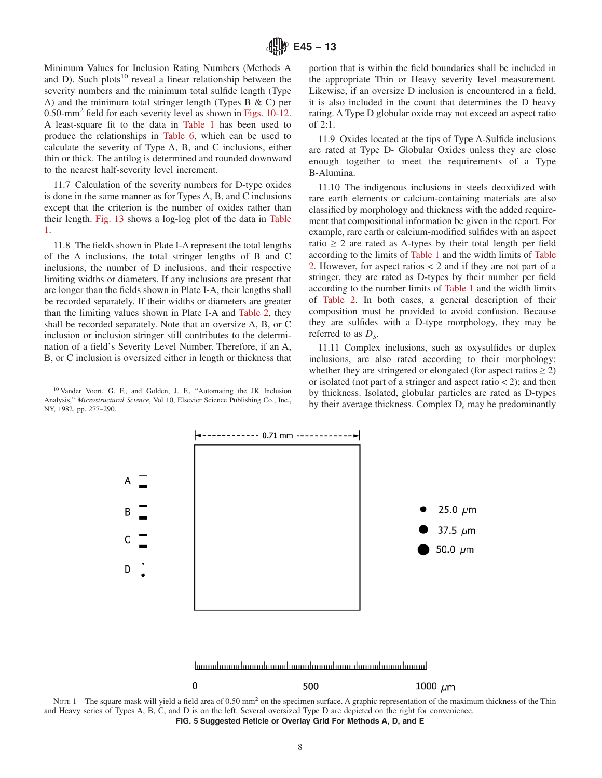<span id="page-7-0"></span>Minimum Values for Inclusion Rating Numbers (Methods A and D). Such plots<sup>10</sup> reveal a linear relationship between the severity numbers and the minimum total sulfide length (Type A) and the minimum total stringer length (Types B  $\&$  C) per 0.50-mm2 field for each severity level as shown in [Figs. 10-12.](#page-9-0) A least-square fit to the data in [Table 1](#page-6-0) has been used to produce the relationships in [Table 6,](#page-12-0) which can be used to calculate the severity of Type A, B, and C inclusions, either thin or thick. The antilog is determined and rounded downward to the nearest half-severity level increment.

11.7 Calculation of the severity numbers for D-type oxides is done in the same manner as for Types A, B, and C inclusions except that the criterion is the number of oxides rather than their length. [Fig. 13](#page-12-0) shows a log-log plot of the data in [Table](#page-6-0) [1.](#page-6-0)

11.8 The fields shown in Plate I-A represent the total lengths of the A inclusions, the total stringer lengths of B and C inclusions, the number of D inclusions, and their respective limiting widths or diameters. If any inclusions are present that are longer than the fields shown in Plate I-A, their lengths shall be recorded separately. If their widths or diameters are greater than the limiting values shown in Plate I-A and [Table 2,](#page-6-0) they shall be recorded separately. Note that an oversize A, B, or C inclusion or inclusion stringer still contributes to the determination of a field's Severity Level Number. Therefore, if an A, B, or C inclusion is oversized either in length or thickness that portion that is within the field boundaries shall be included in the appropriate Thin or Heavy severity level measurement. Likewise, if an oversize D inclusion is encountered in a field, it is also included in the count that determines the D heavy rating. A Type D globular oxide may not exceed an aspect ratio of 2:1.

11.9 Oxides located at the tips of Type A-Sulfide inclusions are rated at Type D- Globular Oxides unless they are close enough together to meet the requirements of a Type B-Alumina.

11.10 The indigenous inclusions in steels deoxidized with rare earth elements or calcium-containing materials are also classified by morphology and thickness with the added requirement that compositional information be given in the report. For example, rare earth or calcium-modified sulfides with an aspect ratio  $\geq 2$  are rated as A-types by their total length per field according to the limits of [Table 1](#page-6-0) and the width limits of [Table](#page-6-0) [2.](#page-6-0) However, for aspect ratios < 2 and if they are not part of a stringer, they are rated as D-types by their number per field according to the number limits of [Table 1](#page-6-0) and the width limits of [Table 2.](#page-6-0) In both cases, a general description of their composition must be provided to avoid confusion. Because they are sulfides with a D-type morphology, they may be referred to as  $D<sub>S</sub>$ .

11.11 Complex inclusions, such as oxysulfides or duplex inclusions, are also rated according to their morphology: whether they are stringered or elongated (for aspect ratios  $\geq$  2) or isolated (not part of a stringer and aspect ratio  $\lt$  2); and then by thickness. Isolated, globular particles are rated as D-types by their average thickness. Complex  $D_s$  may be predominantly



NOTE 1—The square mask will yield a field area of 0.50 mm<sup>2</sup> on the specimen surface. A graphic representation of the maximum thickness of the Thin and Heavy series of Types A, B, C, and D is on the left. Several oversized Type D are depicted on the right for convenience. **FIG. 5 Suggested Reticle or Overlay Grid For Methods A, D, and E**

<sup>10</sup> Vander Voort, G. F., and Golden, J. F., "Automating the JK Inclusion Analysis," *Microstructural Science*, Vol 10, Elsevier Science Publishing Co., Inc., NY, 1982, pp. 277–290.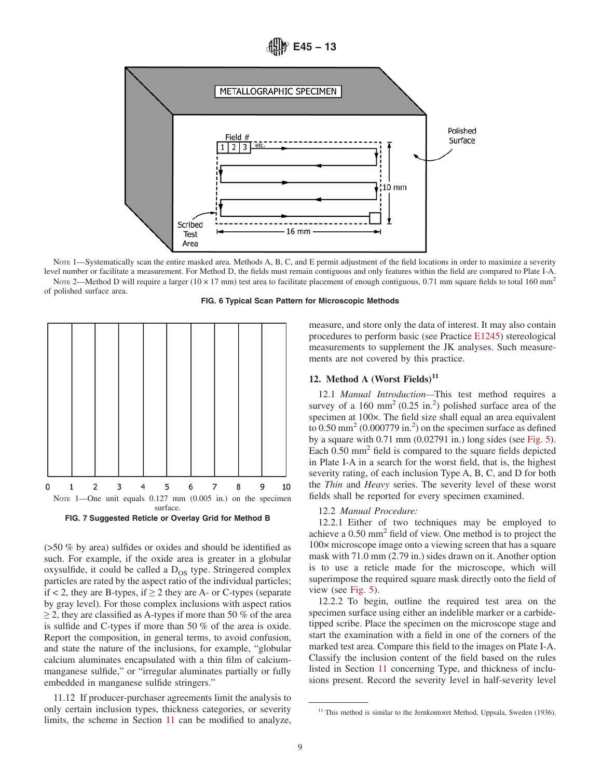**E45 − 13**

<span id="page-8-0"></span>

NOTE 1—Systematically scan the entire masked area. Methods A, B, C, and E permit adjustment of the field locations in order to maximize a severity level number or facilitate a measurement. For Method D, the fields must remain contiguous and only features within the field are compared to Plate I-A. NOTE 2—Method D will require a larger ( $10 \times 17$  mm) test area to facilitate placement of enough contiguous, 0.71 mm square fields to total 160 mm<sup>2</sup> of polished surface area.





(>50 % by area) sulfides or oxides and should be identified as such. For example, if the oxide area is greater in a globular oxysulfide, it could be called a  $D_{OS}$  type. Stringered complex particles are rated by the aspect ratio of the individual particles; if  $<$  2, they are B-types, if  $\geq$  2 they are A- or C-types (separate by gray level). For those complex inclusions with aspect ratios  $\geq$  2, they are classified as A-types if more than 50 % of the area is sulfide and C-types if more than 50 % of the area is oxide. Report the composition, in general terms, to avoid confusion, and state the nature of the inclusions, for example, "globular calcium aluminates encapsulated with a thin film of calciummanganese sulfide," or "irregular aluminates partially or fully embedded in manganese sulfide stringers."

11.12 If producer-purchaser agreements limit the analysis to only certain inclusion types, thickness categories, or severity limits, the scheme in Section [11](#page-5-0) can be modified to analyze, measure, and store only the data of interest. It may also contain procedures to perform basic (see Practice [E1245\)](#page-13-0) stereological measurements to supplement the JK analyses. Such measurements are not covered by this practice.

## 12. Method A (Worst Fields)<sup>11</sup>

12.1 *Manual Introduction—*This test method requires a survey of a  $160 \text{ mm}^2$  (0.25 in.<sup>2</sup>) polished surface area of the specimen at 100×. The field size shall equal an area equivalent to  $0.50$  mm<sup>2</sup> (0.000779 in.<sup>2</sup>) on the specimen surface as defined by a square with 0.71 mm (0.02791 in.) long sides (see [Fig. 5\)](#page-7-0). Each 0.50 mm<sup>2</sup> field is compared to the square fields depicted in Plate I-A in a search for the worst field, that is, the highest severity rating, of each inclusion Type A, B, C, and D for both the *Thin* and *Heavy* series. The severity level of these worst fields shall be reported for every specimen examined.

#### 12.2 *Manual Procedure:*

12.2.1 Either of two techniques may be employed to achieve a 0.50 mm2 field of view. One method is to project the 100× microscope image onto a viewing screen that has a square mask with 71.0 mm (2.79 in.) sides drawn on it. Another option is to use a reticle made for the microscope, which will superimpose the required square mask directly onto the field of view (see [Fig. 5\)](#page-7-0).

12.2.2 To begin, outline the required test area on the specimen surface using either an indelible marker or a carbidetipped scribe. Place the specimen on the microscope stage and start the examination with a field in one of the corners of the marked test area. Compare this field to the images on Plate I-A. Classify the inclusion content of the field based on the rules listed in Section [11](#page-5-0) concerning Type, and thickness of inclusions present. Record the severity level in half-severity level

<sup>&</sup>lt;sup>11</sup> This method is similar to the Jernkontoret Method, Uppsala, Sweden (1936).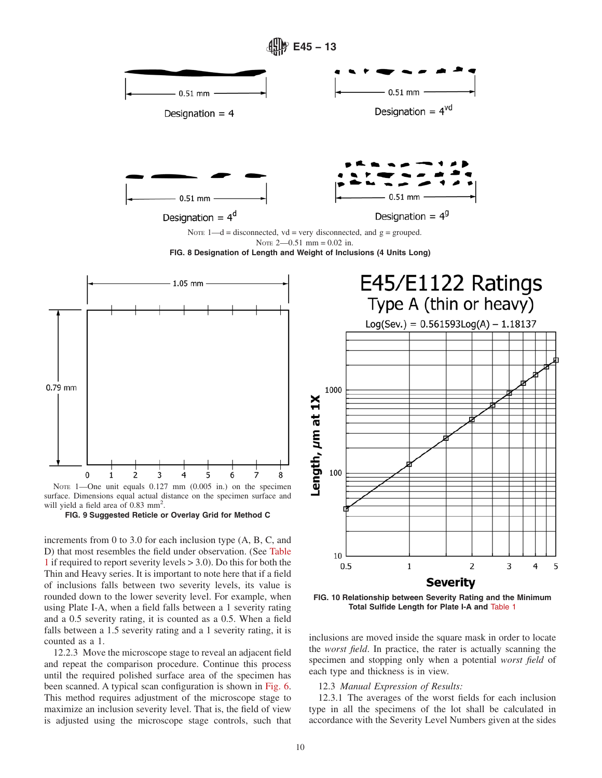<span id="page-9-0"></span>

NOTE 1-One unit equals  $0.127$  mm  $(0.005$  in.) on the specimen surface. Dimensions equal actual distance on the specimen surface and will yield a field area of 0.83 mm<sup>2</sup>.



increments from 0 to 3.0 for each inclusion type (A, B, C, and D) that most resembles the field under observation. (See [Table](#page-6-0) [1](#page-6-0) if required to report severity levels > 3.0). Do this for both the Thin and Heavy series. It is important to note here that if a field of inclusions falls between two severity levels, its value is rounded down to the lower severity level. For example, when using Plate I-A, when a field falls between a 1 severity rating and a 0.5 severity rating, it is counted as a 0.5. When a field falls between a 1.5 severity rating and a 1 severity rating, it is counted as a 1.

12.2.3 Move the microscope stage to reveal an adjacent field and repeat the comparison procedure. Continue this process until the required polished surface area of the specimen has been scanned. A typical scan configuration is shown in [Fig. 6.](#page-8-0) This method requires adjustment of the microscope stage to maximize an inclusion severity level. That is, the field of view is adjusted using the microscope stage controls, such that



**Severity** 

 $\mathbf 1$ 

 $\overline{2}$ 

3

4

5

inclusions are moved inside the square mask in order to locate the *worst field*. In practice, the rater is actually scanning the specimen and stopping only when a potential *worst field* of each type and thickness is in view.

## 12.3 *Manual Expression of Results:*

12.3.1 The averages of the worst fields for each inclusion type in all the specimens of the lot shall be calculated in accordance with the Severity Level Numbers given at the sides

10

 $0.5$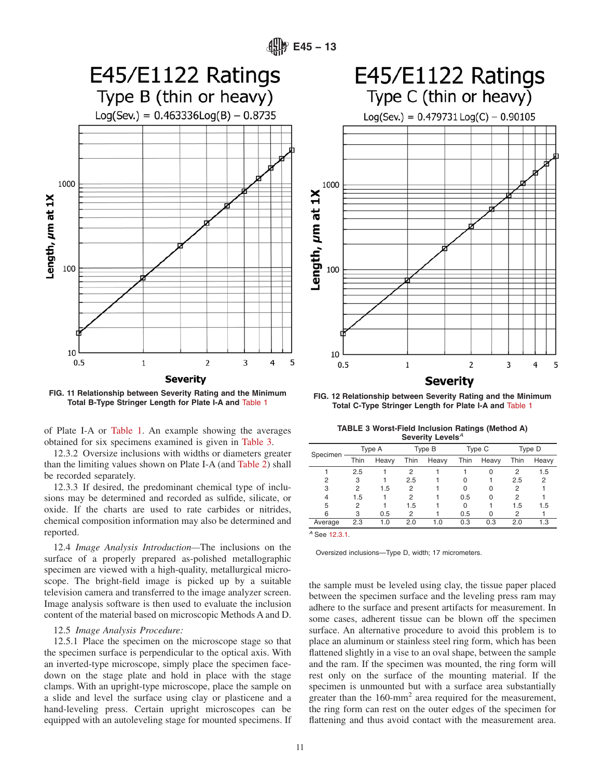



**FIG. 11 Relationship between Severity Rating and the Minimum**

of Plate I-A or [Table 1.](#page-6-0) An example showing the averages obtained for six specimens examined is given in Table 3.

12.3.2 Oversize inclusions with widths or diameters greater than the limiting values shown on Plate I-A (and [Table 2\)](#page-6-0) shall be recorded separately.

12.3.3 If desired, the predominant chemical type of inclusions may be determined and recorded as sulfide, silicate, or oxide. If the charts are used to rate carbides or nitrides, chemical composition information may also be determined and reported.

12.4 *Image Analysis Introduction—*The inclusions on the surface of a properly prepared as-polished metallographic specimen are viewed with a high-quality, metallurgical microscope. The bright-field image is picked up by a suitable television camera and transferred to the image analyzer screen. Image analysis software is then used to evaluate the inclusion content of the material based on microscopic Methods A and D.

#### 12.5 *Image Analysis Procedure:*

12.5.1 Place the specimen on the microscope stage so that the specimen surface is perpendicular to the optical axis. With an inverted-type microscope, simply place the specimen facedown on the stage plate and hold in place with the stage clamps. With an upright-type microscope, place the sample on a slide and level the surface using clay or plasticene and a hand-leveling press. Certain upright microscopes can be equipped with an autoleveling stage for mounted specimens. If



**Total B-Type Stringer Length for Plate I-A and** [Table 1](#page-6-0) **FIG. 12 Relationship between Severity Rating and the Minimum Total C-Type Stringer Length for Plate I-A and** [Table 1](#page-6-0)

| <b>TABLE 3 Worst-Field Inclusion Ratings (Method A)</b> |                                           |  |  |
|---------------------------------------------------------|-------------------------------------------|--|--|
|                                                         | Severity Levels <sup><math>A</math></sup> |  |  |

|                 |      | Type A | Type C<br>Type B |       |      | Type D |      |       |
|-----------------|------|--------|------------------|-------|------|--------|------|-------|
| Specimen        | Thin | Heavy  | Thin             | Heavy | Thin | Heavy  | Thin | Heavy |
|                 | 2.5  |        | 2                |       |      | 0      | 2    | 1.5   |
| 2               | 3    |        | 2.5              |       | 0    |        | 2.5  | 2     |
| 3               | 2    | 1.5    | 2                |       | O    | 0      | 2    |       |
| 4               | 1.5  |        | 2                |       | 0.5  | 0      | 2    |       |
| 5               | 2    |        | 1.5              |       | 0    |        | 1.5  | 1.5   |
| 6               | 3    | 0.5    | 2                |       | 0.5  | 0      | 2    |       |
| Average         | 2.3  | 1.0    | 2.0              | 1.0   | 0.3  | 0.3    | 2.0  | 1.3   |
| $40 \times 100$ |      |        |                  |       |      |        |      |       |

*<sup>A</sup>* See [12.3.1.](#page-9-0)

Oversized inclusions—Type D, width; 17 micrometers.

the sample must be leveled using clay, the tissue paper placed between the specimen surface and the leveling press ram may adhere to the surface and present artifacts for measurement. In some cases, adherent tissue can be blown off the specimen surface. An alternative procedure to avoid this problem is to place an aluminum or stainless steel ring form, which has been flattened slightly in a vise to an oval shape, between the sample and the ram. If the specimen was mounted, the ring form will rest only on the surface of the mounting material. If the specimen is unmounted but with a surface area substantially greater than the 160-mm<sup>2</sup> area required for the measurement, the ring form can rest on the outer edges of the specimen for flattening and thus avoid contact with the measurement area.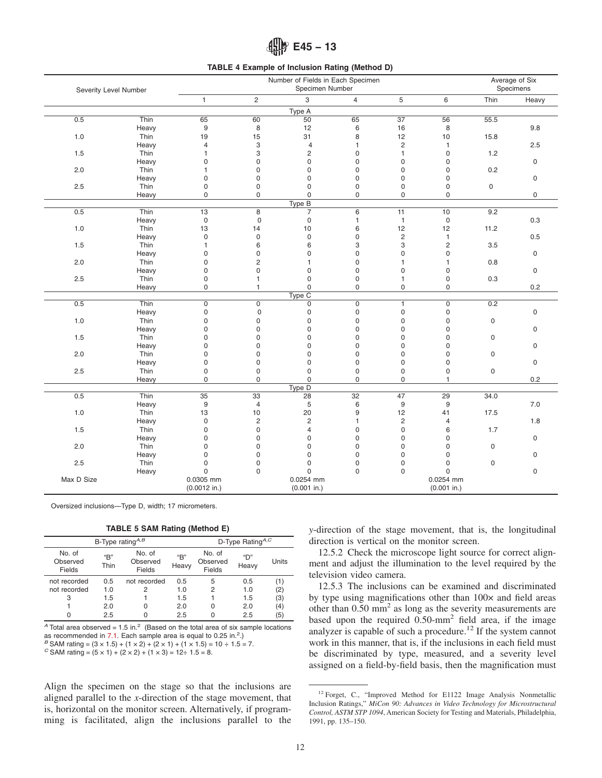# **E45 − 13**

#### **TABLE 4 Example of Inclusion Rating (Method D)**

<span id="page-11-0"></span>

|                       |       |                 |                           | Number of Fields in Each Specimen |                |                 |                 |      | Average of Six      |
|-----------------------|-------|-----------------|---------------------------|-----------------------------------|----------------|-----------------|-----------------|------|---------------------|
| Severity Level Number |       |                 |                           | Specimen Number                   |                |                 |                 |      | Specimens           |
|                       |       | $\mathbf{1}$    | $\overline{2}$            | 3                                 | $\overline{4}$ | 5               | 6               | Thin | Heavy               |
|                       |       |                 |                           | Type A                            |                |                 |                 |      |                     |
| 0.5                   | Thin  | 65              | 60                        | 50                                | 65             | $\overline{37}$ | 56              | 55.5 |                     |
|                       | Heavy | 9               | 8                         | 12                                | 6              | 16              | 8               |      | 9.8                 |
| 1.0                   | Thin  | 19              | 15                        | 31                                | 8              | 12              | 10              | 15.8 |                     |
|                       | Heavy | $\overline{4}$  | $\ensuremath{\mathsf{3}}$ | $\overline{4}$                    | 1              | $\overline{c}$  | $\mathbf{1}$    |      | 2.5                 |
| 1.5                   | Thin  | 1               | 3                         | $\overline{c}$                    | $\mathbf 0$    | $\mathbf{1}$    | $\mathbf 0$     | 1.2  |                     |
|                       | Heavy | $\mathbf 0$     | $\mathbf 0$               | 0                                 | $\mathbf 0$    | $\mathbf 0$     | $\mathbf 0$     |      | $\mathsf{O}\xspace$ |
| 2.0                   | Thin  | 1               | $\mathbf 0$               | 0                                 | 0              | $\mathbf 0$     | $\mathbf 0$     | 0.2  |                     |
|                       | Heavy | $\mathbf 0$     | $\mathbf 0$               | 0                                 | $\mathbf 0$    | $\Omega$        | $\mathbf 0$     |      | $\mathsf 0$         |
| 2.5                   | Thin  | $\mathbf 0$     | $\mathbf 0$               | $\mathbf 0$                       | $\mathbf 0$    | $\mathbf 0$     | $\mathbf 0$     | 0    |                     |
|                       | Heavy | $\mathbf 0$     | $\mathbf 0$               | $\mathbf 0$                       | 0              | $\mathbf 0$     | $\mathbf 0$     |      | $\mathsf{O}\xspace$ |
|                       |       |                 |                           | Type B                            |                |                 |                 |      |                     |
| 0.5                   | Thin  | $\overline{13}$ | $\overline{8}$            | $\overline{7}$                    | 6              | $\overline{11}$ | 10              | 9.2  |                     |
|                       | Heavy | $\mathsf 0$     | $\mathsf 0$               | $\mathbf 0$                       | $\mathbf{1}$   | $\mathbf{1}$    | $\mathsf 0$     |      | 0.3                 |
| 1.0                   | Thin  | 13              | 14                        | 10                                | 6              | 12              | 12              | 11.2 |                     |
|                       | Heavy | 0               | $\pmb{0}$                 | $\mathbf 0$                       | $\mathbf 0$    | $\overline{c}$  | $\mathbf{1}$    |      | 0.5                 |
| 1.5                   | Thin  | $\mathbf{1}$    | 6                         | 6                                 | 3              | 3               | $\overline{c}$  | 3.5  |                     |
|                       | Heavy | $\mathbf 0$     | $\mathbf 0$               | $\mathbf 0$                       | $\mathbf 0$    | $\mathbf 0$     | $\mathbf 0$     |      | $\mathsf{O}\xspace$ |
| 2.0                   | Thin  | $\mathbf 0$     | $\overline{c}$            | $\mathbf{1}$                      | $\mathbf 0$    | 1               | 1               | 0.8  |                     |
|                       | Heavy | $\mathbf 0$     | $\mathbf 0$               | $\mathbf 0$                       | $\mathbf 0$    | $\mathbf 0$     | $\mathbf 0$     |      | $\mathbf 0$         |
| 2.5                   | Thin  | $\pmb{0}$       | 1                         | $\mathbf 0$                       | $\pmb{0}$      | 1               | $\mathbf 0$     | 0.3  |                     |
|                       | Heavy | $\mathsf 0$     | $\mathbf{1}$              | $\mathsf 0$                       | $\mathsf 0$    | $\mathsf 0$     | 0               |      | 0.2                 |
|                       |       |                 |                           | Type C                            |                |                 |                 |      |                     |
| 0.5                   | Thin  | $\mathsf 0$     | $\mathsf 0$               | $\mathsf 0$                       | $\mathsf 0$    | $\mathbf{1}$    | $\overline{0}$  | 0.2  |                     |
|                       | Heavy | 0               | $\mathbf 0$               | $\mathbf 0$                       | 0              | $\mathbf 0$     | $\mathbf 0$     |      | $\mathbf 0$         |
| 1.0                   | Thin  | $\mathbf 0$     | 0                         | $\mathbf 0$                       | $\pmb{0}$      | $\mathbf 0$     | $\mathbf 0$     | 0    |                     |
|                       | Heavy | $\mathbf 0$     | 0                         | $\mathbf 0$                       | $\mathbf 0$    | $\mathbf 0$     | $\mathbf 0$     |      | $\mathsf 0$         |
| 1.5                   | Thin  | $\mathbf 0$     | $\mathbf 0$               | $\mathbf 0$                       | $\mathbf 0$    | $\mathbf 0$     | $\mathbf 0$     | 0    |                     |
|                       | Heavy | $\mathbf 0$     | 0                         | 0                                 | $\mathbf 0$    | $\Omega$        | $\mathbf 0$     |      | $\mathsf{O}\xspace$ |
| 2.0                   | Thin  | $\mathbf 0$     | 0                         | $\mathbf 0$                       | $\mathbf 0$    | 0               | $\mathbf 0$     | 0    |                     |
|                       | Heavy | 0               | 0                         | $\mathbf 0$                       | 0              | 0               | 0               |      | $\mathsf 0$         |
| 2.5                   | Thin  | $\mathbf 0$     | $\mathbf 0$               | $\mathsf 0$                       | $\pmb{0}$      | $\mathbf 0$     | $\mathsf 0$     | 0    |                     |
|                       | Heavy | 0               | $\mathbf 0$               | $\mathbf 0$                       | 0              | 0               | 1               |      | 0.2                 |
| Type D                |       |                 |                           |                                   |                |                 |                 |      |                     |
| 0.5                   | Thin  | $\overline{35}$ | 33                        | 28                                | 32             | 47              | $\overline{29}$ | 34.0 |                     |
|                       | Heavy | 9               | $\overline{4}$            | 5                                 | 6              | 9               | 9               |      | 7.0                 |
| 1.0                   | Thin  | 13              | 10                        | 20                                | 9              | 12              | 41              | 17.5 |                     |
|                       | Heavy | $\mathbf 0$     | $\overline{2}$            | $\sqrt{2}$                        | $\mathbf{1}$   | $\overline{2}$  | $\overline{4}$  |      | 1.8                 |
| 1.5                   | Thin  | $\mathbf 0$     | $\mathbf 0$               | 4                                 | $\mathbf 0$    | $\mathbf 0$     | 6               | 1.7  |                     |
|                       | Heavy | 0               | 0                         | 0                                 | 0              | 0               | 0               |      | $\mathbf 0$         |
| 2.0                   | Thin  | 0               | 0                         | 0                                 | 0              | 0               | 0               | 0    |                     |
|                       | Heavy | 0               | 0                         | 0                                 | 0              | $\mathbf 0$     | $\mathbf 0$     |      | $\mathsf 0$         |
| 2.5                   | Thin  | $\mathbf 0$     | $\mathbf 0$               | 0                                 | 0              | $\Omega$        | $\mathbf 0$     | 0    |                     |
|                       | Heavy | $\mathbf 0$     | $\Omega$                  | $\mathbf 0$                       | $\mathbf 0$    | $\mathbf 0$     | $\Omega$        |      | $\mathsf{O}\xspace$ |
| Max D Size            |       | 0.0305 mm       |                           | 0.0254 mm                         |                |                 | 0.0254 mm       |      |                     |
|                       |       | $(0.0012$ in.)  |                           | $(0.001$ in.)                     |                |                 | $(0.001$ in.)   |      |                     |

Oversized inclusions—Type D, width; 17 micrometers.

**TABLE 5 SAM Rating (Method E)**

|                              |               | D-Type Rating $A, C$         |              |                              |              |       |
|------------------------------|---------------|------------------------------|--------------|------------------------------|--------------|-------|
| No. of<br>Observed<br>Fields | "B"<br>Thin   | No. of<br>Observed<br>Fields | "В"<br>Heavy | No. of<br>Observed<br>Fields | "በ"<br>Heavy | Units |
| not recorded                 | $0.5^{\circ}$ | not recorded                 | 0.5          | 5                            | 0.5          | (1)   |
| not recorded                 | 1.0           | 2                            | 1.0          | 2                            | 1.0          | (2)   |
| З                            | 1.5           |                              | 1.5          |                              | 1.5          | (3)   |
|                              | 2.0           | 0                            | 2.0          | 0                            | 2.0          | (4)   |
|                              | 2.5           |                              | 2.5          | 0                            | 2.5          | (5)   |

 $\overline{A}$  Total area observed = 1.5 in.<sup>2</sup> (Based on the total area of six sample locations as recommended in  $7.1$ . Each sample area is equal to  $0.25$  in.<sup>2</sup>.)  $B$  SAM rating =  $(3 \times 1.5) + (1 \times 2) + (2 \times 1) + (1 \times 1.5) = 10 \div 1.5 = 7$ .

*C* SAM rating =  $(5 \times 1) + (2 \times 2) + (1 \times 3) = 12 \div 1.5 = 8$ .

Align the specimen on the stage so that the inclusions are aligned parallel to the *x*-direction of the stage movement, that is, horizontal on the monitor screen. Alternatively, if programming is facilitated, align the inclusions parallel to the *y*-direction of the stage movement, that is, the longitudinal direction is vertical on the monitor screen.

12.5.2 Check the microscope light source for correct alignment and adjust the illumination to the level required by the television video camera.

12.5.3 The inclusions can be examined and discriminated by type using magnifications other than  $100 \times$  and field areas other than  $0.50$  mm<sup>2</sup> as long as the severity measurements are based upon the required  $0.50$ -mm<sup>2</sup> field area, if the image analyzer is capable of such a procedure.<sup>12</sup> If the system cannot work in this manner, that is, if the inclusions in each field must be discriminated by type, measured, and a severity level assigned on a field-by-field basis, then the magnification must

<sup>&</sup>lt;sup>12</sup> Forget, C., "Improved Method for E1122 Image Analysis Nonmetallic Inclusion Ratings," *MiCon 90: Advances in Video Technology for Microstructural Control, ASTM STP 1094*, American Society for Testing and Materials, Philadelphia, 1991, pp. 135–150.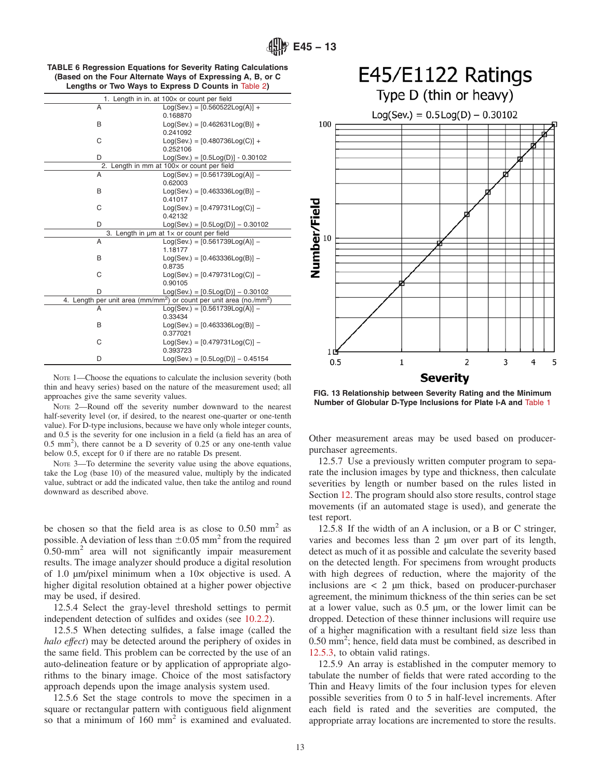<span id="page-12-0"></span>

| <b>TABLE 6 Regression Equations for Severity Rating Calculations</b> |
|----------------------------------------------------------------------|
| (Based on the Four Alternate Ways of Expressing A, B, or C)          |
| Lengths or Two Ways to Express D Counts in Table 2)                  |

|    | 1. Length in in. at 100x or count per field                                                 |
|----|---------------------------------------------------------------------------------------------|
| A  | $Log(Sev.) = [0.560522Log(A)] +$                                                            |
|    | 0.168870                                                                                    |
| B  | $Log(Sev.) = [0.462631Log(B)] +$                                                            |
|    | 0.241092                                                                                    |
| C  | $Log(Sev.) = [0.480736Log(C)] +$                                                            |
|    | 0.252106                                                                                    |
| D  | $Log(Sev.) = [0.5Log(D)] - 0.30102$                                                         |
| 2. | Length in mm at 100x or count per field                                                     |
| A  | $Log(Sev.) = [0.561739Log(A)] -$                                                            |
|    | 0.62003                                                                                     |
| B  | $Log(Sev.) = [0.463336Log(B)] -$                                                            |
|    | 0.41017                                                                                     |
| C  | $Log(Sev.) = [0.479731Log(C)] -$                                                            |
|    | 0.42132                                                                                     |
| D  | $Log(Sev.) = [0.5Log(D)] - 0.30102$                                                         |
|    | 3. Length in $\mu$ m at $1 \times$ or count per field                                       |
| A  | $Log(Sev.) = [0.561739Log(A)] -$                                                            |
|    | 1.18177                                                                                     |
| B  | $Log(Sev.) = [0.463336Log(B)] -$                                                            |
|    | 0.8735                                                                                      |
| C  | $Log(Sev.) = [0.479731Log(C)] -$                                                            |
|    | 0.90105                                                                                     |
| D  | $Log(Sev.) = [0.5Log(D)] - 0.30102$                                                         |
|    | 4. Length per unit area (mm/mm <sup>2</sup> ) or count per unit area (no./mm <sup>2</sup> ) |
| A  | $Log(Sev.) = [0.561739Log(A)] -$                                                            |
|    | 0.33434                                                                                     |
| B  | $Log(Sev.) = [0.463336Log(B)] -$                                                            |
|    | 0.377021                                                                                    |
| C  | $Log(Sev.) = [0.479731Log(C)] -$                                                            |
|    | 0.393723                                                                                    |
| D  | $Log(Sev.) = [0.5Log(D)] - 0.45154$                                                         |

NOTE 1—Choose the equations to calculate the inclusion severity (both thin and heavy series) based on the nature of the measurement used; all approaches give the same severity values.

NOTE 2—Round off the severity number downward to the nearest half-severity level (or, if desired, to the nearest one-quarter or one-tenth value). For D-type inclusions, because we have only whole integer counts, and 0.5 is the severity for one inclusion in a field (a field has an area of 0.5 mm<sup>2</sup> ), there cannot be a D severity of 0.25 or any one-tenth value below 0.5, except for 0 if there are no ratable Ds present.

NOTE 3—To determine the severity value using the above equations, take the Log (base 10) of the measured value, multiply by the indicated value, subtract or add the indicated value, then take the antilog and round downward as described above.

be chosen so that the field area is as close to  $0.50 \text{ mm}^2$  as possible. A deviation of less than  $\pm 0.05$  mm<sup>2</sup> from the required  $0.50$ -mm<sup>2</sup> area will not significantly impair measurement results. The image analyzer should produce a digital resolution of 1.0 µm/pixel minimum when a 10× objective is used. A higher digital resolution obtained at a higher power objective may be used, if desired.

12.5.4 Select the gray-level threshold settings to permit independent detection of sulfides and oxides (see [10.2.2\)](#page-5-0).

12.5.5 When detecting sulfides, a false image (called the *halo effect*) may be detected around the periphery of oxides in the same field. This problem can be corrected by the use of an auto-delineation feature or by application of appropriate algorithms to the binary image. Choice of the most satisfactory approach depends upon the image analysis system used.

12.5.6 Set the stage controls to move the specimen in a square or rectangular pattern with contiguous field alignment so that a minimum of 160 mm<sup>2</sup> is examined and evaluated.



**FIG. 13 Relationship between Severity Rating and the Minimum Number of Globular D-Type Inclusions for Plate I-A and** [Table 1](#page-6-0)

Other measurement areas may be used based on producerpurchaser agreements.

12.5.7 Use a previously written computer program to separate the inclusion images by type and thickness, then calculate severities by length or number based on the rules listed in Section [12.](#page-8-0) The program should also store results, control stage movements (if an automated stage is used), and generate the test report.

12.5.8 If the width of an A inclusion, or a B or C stringer, varies and becomes less than 2 µm over part of its length, detect as much of it as possible and calculate the severity based on the detected length. For specimens from wrought products with high degrees of reduction, where the majority of the inclusions are  $\langle 2 \rangle$  um thick, based on producer-purchaser agreement, the minimum thickness of the thin series can be set at a lower value, such as 0.5 µm, or the lower limit can be dropped. Detection of these thinner inclusions will require use of a higher magnification with a resultant field size less than 0.50 mm<sup>2</sup>; hence, field data must be combined, as described in [12.5.3,](#page-11-0) to obtain valid ratings.

12.5.9 An array is established in the computer memory to tabulate the number of fields that were rated according to the Thin and Heavy limits of the four inclusion types for eleven possible severities from 0 to 5 in half-level increments. After each field is rated and the severities are computed, the appropriate array locations are incremented to store the results.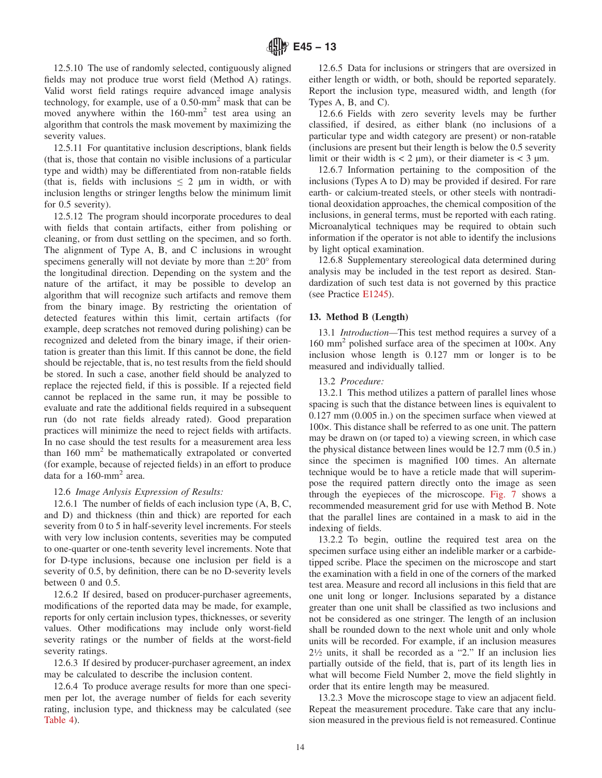<span id="page-13-0"></span>12.5.10 The use of randomly selected, contiguously aligned fields may not produce true worst field (Method A) ratings. Valid worst field ratings require advanced image analysis technology, for example, use of a  $0.50$ -mm<sup>2</sup> mask that can be moved anywhere within the 160-mm<sup>2</sup> test area using an algorithm that controls the mask movement by maximizing the severity values.

12.5.11 For quantitative inclusion descriptions, blank fields (that is, those that contain no visible inclusions of a particular type and width) may be differentiated from non-ratable fields (that is, fields with inclusions  $\leq 2$  µm in width, or with inclusion lengths or stringer lengths below the minimum limit for 0.5 severity).

12.5.12 The program should incorporate procedures to deal with fields that contain artifacts, either from polishing or cleaning, or from dust settling on the specimen, and so forth. The alignment of Type A, B, and C inclusions in wrought specimens generally will not deviate by more than  $\pm 20^{\circ}$  from the longitudinal direction. Depending on the system and the nature of the artifact, it may be possible to develop an algorithm that will recognize such artifacts and remove them from the binary image. By restricting the orientation of detected features within this limit, certain artifacts (for example, deep scratches not removed during polishing) can be recognized and deleted from the binary image, if their orientation is greater than this limit. If this cannot be done, the field should be rejectable, that is, no test results from the field should be stored. In such a case, another field should be analyzed to replace the rejected field, if this is possible. If a rejected field cannot be replaced in the same run, it may be possible to evaluate and rate the additional fields required in a subsequent run (do not rate fields already rated). Good preparation practices will minimize the need to reject fields with artifacts. In no case should the test results for a measurement area less than 160 mm2 be mathematically extrapolated or converted (for example, because of rejected fields) in an effort to produce data for a 160-mm<sup>2</sup> area.

## 12.6 *Image Anlysis Expression of Results:*

12.6.1 The number of fields of each inclusion type (A, B, C, and D) and thickness (thin and thick) are reported for each severity from 0 to 5 in half-severity level increments. For steels with very low inclusion contents, severities may be computed to one-quarter or one-tenth severity level increments. Note that for D-type inclusions, because one inclusion per field is a severity of 0.5, by definition, there can be no D-severity levels between 0 and 0.5.

12.6.2 If desired, based on producer-purchaser agreements, modifications of the reported data may be made, for example, reports for only certain inclusion types, thicknesses, or severity values. Other modifications may include only worst-field severity ratings or the number of fields at the worst-field severity ratings.

12.6.3 If desired by producer-purchaser agreement, an index may be calculated to describe the inclusion content.

12.6.4 To produce average results for more than one specimen per lot, the average number of fields for each severity rating, inclusion type, and thickness may be calculated (see [Table 4\)](#page-11-0).

12.6.5 Data for inclusions or stringers that are oversized in either length or width, or both, should be reported separately. Report the inclusion type, measured width, and length (for Types A, B, and C).

12.6.6 Fields with zero severity levels may be further classified, if desired, as either blank (no inclusions of a particular type and width category are present) or non-ratable (inclusions are present but their length is below the 0.5 severity limit or their width is  $< 2 \mu m$ , or their diameter is  $< 3 \mu m$ .

12.6.7 Information pertaining to the composition of the inclusions (Types A to D) may be provided if desired. For rare earth- or calcium-treated steels, or other steels with nontraditional deoxidation approaches, the chemical composition of the inclusions, in general terms, must be reported with each rating. Microanalytical techniques may be required to obtain such information if the operator is not able to identify the inclusions by light optical examination.

12.6.8 Supplementary stereological data determined during analysis may be included in the test report as desired. Standardization of such test data is not governed by this practice (see Practice [E1245\)](#page-17-0).

## **13. Method B (Length)**

13.1 *Introduction—*This test method requires a survey of a 160 mm2 polished surface area of the specimen at 100×. Any inclusion whose length is 0.127 mm or longer is to be measured and individually tallied.

## 13.2 *Procedure:*

13.2.1 This method utilizes a pattern of parallel lines whose spacing is such that the distance between lines is equivalent to 0.127 mm (0.005 in.) on the specimen surface when viewed at 100×. This distance shall be referred to as one unit. The pattern may be drawn on (or taped to) a viewing screen, in which case the physical distance between lines would be 12.7 mm (0.5 in.) since the specimen is magnified 100 times. An alternate technique would be to have a reticle made that will superimpose the required pattern directly onto the image as seen through the eyepieces of the microscope. [Fig. 7](#page-8-0) shows a recommended measurement grid for use with Method B. Note that the parallel lines are contained in a mask to aid in the indexing of fields.

13.2.2 To begin, outline the required test area on the specimen surface using either an indelible marker or a carbidetipped scribe. Place the specimen on the microscope and start the examination with a field in one of the corners of the marked test area. Measure and record all inclusions in this field that are one unit long or longer. Inclusions separated by a distance greater than one unit shall be classified as two inclusions and not be considered as one stringer. The length of an inclusion shall be rounded down to the next whole unit and only whole units will be recorded. For example, if an inclusion measures  $2\frac{1}{2}$  units, it shall be recorded as a "2." If an inclusion lies partially outside of the field, that is, part of its length lies in what will become Field Number 2, move the field slightly in order that its entire length may be measured.

13.2.3 Move the microscope stage to view an adjacent field. Repeat the measurement procedure. Take care that any inclusion measured in the previous field is not remeasured. Continue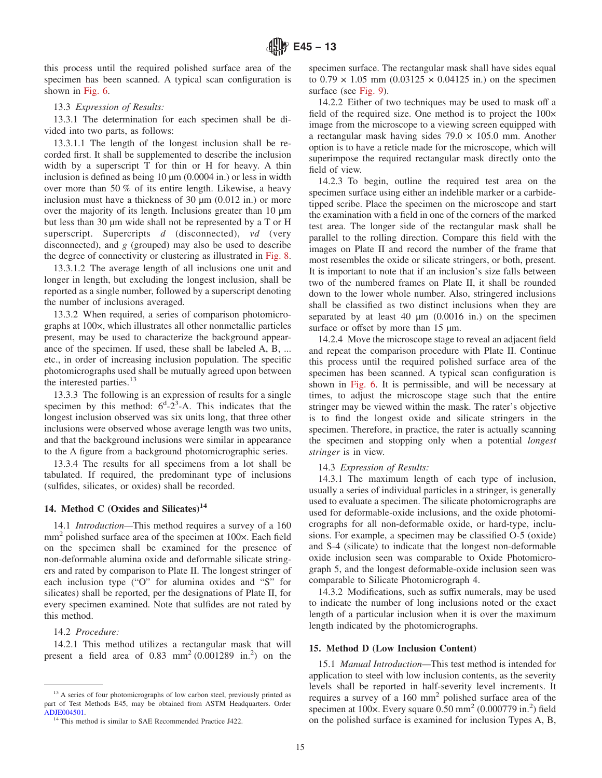this process until the required polished surface area of the specimen has been scanned. A typical scan configuration is shown in [Fig. 6.](#page-8-0)

#### 13.3 *Expression of Results:*

13.3.1 The determination for each specimen shall be divided into two parts, as follows:

13.3.1.1 The length of the longest inclusion shall be recorded first. It shall be supplemented to describe the inclusion width by a superscript T for thin or H for heavy. A thin inclusion is defined as being 10  $\mu$ m (0.0004 in.) or less in width over more than 50 % of its entire length. Likewise, a heavy inclusion must have a thickness of 30  $\mu$ m (0.012 in.) or more over the majority of its length. Inclusions greater than 10 µm but less than 30 µm wide shall not be represented by a T or H superscript. Supercripts *d* (disconnected), *vd* (very disconnected), and *g* (grouped) may also be used to describe the degree of connectivity or clustering as illustrated in [Fig. 8.](#page-9-0)

13.3.1.2 The average length of all inclusions one unit and longer in length, but excluding the longest inclusion, shall be reported as a single number, followed by a superscript denoting the number of inclusions averaged.

13.3.2 When required, a series of comparison photomicrographs at 100×, which illustrates all other nonmetallic particles present, may be used to characterize the background appearance of the specimen. If used, these shall be labeled A, B, ... etc., in order of increasing inclusion population. The specific photomicrographs used shall be mutually agreed upon between the interested parties.<sup>13</sup>

13.3.3 The following is an expression of results for a single specimen by this method:  $6^d$ - $2^3$ -A. This indicates that the longest inclusion observed was six units long, that three other inclusions were observed whose average length was two units, and that the background inclusions were similar in appearance to the A figure from a background photomicrographic series.

13.3.4 The results for all specimens from a lot shall be tabulated. If required, the predominant type of inclusions (sulfides, silicates, or oxides) shall be recorded.

## 14. Method C (Oxides and Silicates)<sup>14</sup>

14.1 *Introduction—*This method requires a survey of a 160  $mm<sup>2</sup>$  polished surface area of the specimen at 100 $\times$ . Each field on the specimen shall be examined for the presence of non-deformable alumina oxide and deformable silicate stringers and rated by comparison to Plate II. The longest stringer of each inclusion type ("O" for alumina oxides and "S" for silicates) shall be reported, per the designations of Plate II, for every specimen examined. Note that sulfides are not rated by this method.

#### 14.2 *Procedure:*

14.2.1 This method utilizes a rectangular mask that will present a field area of  $0.83 \text{ mm}^2 (0.001289 \text{ in.}^2)$  on the

specimen surface. The rectangular mask shall have sides equal to  $0.79 \times 1.05$  mm  $(0.03125 \times 0.04125)$  in.) on the specimen surface (see [Fig. 9\)](#page-9-0).

14.2.2 Either of two techniques may be used to mask off a field of the required size. One method is to project the 100× image from the microscope to a viewing screen equipped with a rectangular mask having sides  $79.0 \times 105.0$  mm. Another option is to have a reticle made for the microscope, which will superimpose the required rectangular mask directly onto the field of view.

14.2.3 To begin, outline the required test area on the specimen surface using either an indelible marker or a carbidetipped scribe. Place the specimen on the microscope and start the examination with a field in one of the corners of the marked test area. The longer side of the rectangular mask shall be parallel to the rolling direction. Compare this field with the images on Plate II and record the number of the frame that most resembles the oxide or silicate stringers, or both, present. It is important to note that if an inclusion's size falls between two of the numbered frames on Plate II, it shall be rounded down to the lower whole number. Also, stringered inclusions shall be classified as two distinct inclusions when they are separated by at least 40  $\mu$ m (0.0016 in.) on the specimen surface or offset by more than 15  $\mu$ m.

14.2.4 Move the microscope stage to reveal an adjacent field and repeat the comparison procedure with Plate II. Continue this process until the required polished surface area of the specimen has been scanned. A typical scan configuration is shown in [Fig. 6.](#page-8-0) It is permissible, and will be necessary at times, to adjust the microscope stage such that the entire stringer may be viewed within the mask. The rater's objective is to find the longest oxide and silicate stringers in the specimen. Therefore, in practice, the rater is actually scanning the specimen and stopping only when a potential *longest stringer* is in view.

## 14.3 *Expression of Results:*

14.3.1 The maximum length of each type of inclusion, usually a series of individual particles in a stringer, is generally used to evaluate a specimen. The silicate photomicrographs are used for deformable-oxide inclusions, and the oxide photomicrographs for all non-deformable oxide, or hard-type, inclusions. For example, a specimen may be classified O-5 (oxide) and S-4 (silicate) to indicate that the longest non-deformable oxide inclusion seen was comparable to Oxide Photomicrograph 5, and the longest deformable-oxide inclusion seen was comparable to Silicate Photomicrograph 4.

14.3.2 Modifications, such as suffix numerals, may be used to indicate the number of long inclusions noted or the exact length of a particular inclusion when it is over the maximum length indicated by the photomicrographs.

#### **15. Method D (Low Inclusion Content)**

15.1 *Manual Introduction—*This test method is intended for application to steel with low inclusion contents, as the severity levels shall be reported in half-severity level increments. It requires a survey of a 160 mm2 polished surface area of the specimen at  $100 \times$ . Every square  $0.50$  mm<sup>2</sup> (0.000779 in.<sup>2</sup>) field on the polished surface is examined for inclusion Types A, B,

<sup>&</sup>lt;sup>13</sup> A series of four photomicrographs of low carbon steel, previously printed as part of Test Methods E45, may be obtained from ASTM Headquarters. Order [ADJE004501.](http://www.astm.org/BOOKSTORE/ADJUNCT/ADJE004501.htm)

<sup>&</sup>lt;sup>14</sup> This method is similar to SAE Recommended Practice J422.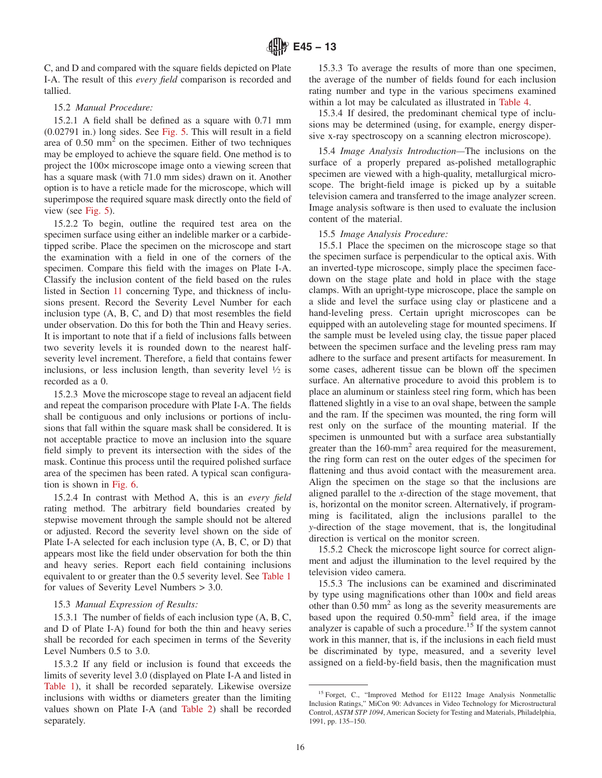<span id="page-15-0"></span>C, and D and compared with the square fields depicted on Plate I-A. The result of this *every field* comparison is recorded and tallied.

#### 15.2 *Manual Procedure:*

15.2.1 A field shall be defined as a square with 0.71 mm (0.02791 in.) long sides. See [Fig. 5.](#page-7-0) This will result in a field area of  $0.50$  mm<sup>2</sup> on the specimen. Either of two techniques may be employed to achieve the square field. One method is to project the 100× microscope image onto a viewing screen that has a square mask (with 71.0 mm sides) drawn on it. Another option is to have a reticle made for the microscope, which will superimpose the required square mask directly onto the field of view (see [Fig. 5\)](#page-7-0).

15.2.2 To begin, outline the required test area on the specimen surface using either an indelible marker or a carbidetipped scribe. Place the specimen on the microscope and start the examination with a field in one of the corners of the specimen. Compare this field with the images on Plate I-A. Classify the inclusion content of the field based on the rules listed in Section [11](#page-5-0) concerning Type, and thickness of inclusions present. Record the Severity Level Number for each inclusion type (A, B, C, and D) that most resembles the field under observation. Do this for both the Thin and Heavy series. It is important to note that if a field of inclusions falls between two severity levels it is rounded down to the nearest halfseverity level increment. Therefore, a field that contains fewer inclusions, or less inclusion length, than severity level  $\frac{1}{2}$  is recorded as a 0.

15.2.3 Move the microscope stage to reveal an adjacent field and repeat the comparison procedure with Plate I-A. The fields shall be contiguous and only inclusions or portions of inclusions that fall within the square mask shall be considered. It is not acceptable practice to move an inclusion into the square field simply to prevent its intersection with the sides of the mask. Continue this process until the required polished surface area of the specimen has been rated. A typical scan configuration is shown in [Fig. 6.](#page-8-0)

15.2.4 In contrast with Method A, this is an *every field* rating method. The arbitrary field boundaries created by stepwise movement through the sample should not be altered or adjusted. Record the severity level shown on the side of Plate I-A selected for each inclusion type (A, B, C, or D) that appears most like the field under observation for both the thin and heavy series. Report each field containing inclusions equivalent to or greater than the 0.5 severity level. See [Table 1](#page-6-0) for values of Severity Level Numbers > 3.0.

#### 15.3 *Manual Expression of Results:*

15.3.1 The number of fields of each inclusion type (A, B, C, and D of Plate I-A) found for both the thin and heavy series shall be recorded for each specimen in terms of the Severity Level Numbers 0.5 to 3.0.

15.3.2 If any field or inclusion is found that exceeds the limits of severity level 3.0 (displayed on Plate I-A and listed in [Table 1\)](#page-6-0), it shall be recorded separately. Likewise oversize inclusions with widths or diameters greater than the limiting values shown on Plate I-A (and [Table 2\)](#page-6-0) shall be recorded separately.

15.3.3 To average the results of more than one specimen, the average of the number of fields found for each inclusion rating number and type in the various specimens examined within a lot may be calculated as illustrated in [Table 4.](#page-11-0)

15.3.4 If desired, the predominant chemical type of inclusions may be determined (using, for example, energy dispersive x-ray spectroscopy on a scanning electron microscope).

15.4 *Image Analysis Introduction—*The inclusions on the surface of a properly prepared as-polished metallographic specimen are viewed with a high-quality, metallurgical microscope. The bright-field image is picked up by a suitable television camera and transferred to the image analyzer screen. Image analysis software is then used to evaluate the inclusion content of the material.

#### 15.5 *Image Analysis Procedure:*

15.5.1 Place the specimen on the microscope stage so that the specimen surface is perpendicular to the optical axis. With an inverted-type microscope, simply place the specimen facedown on the stage plate and hold in place with the stage clamps. With an upright-type microscope, place the sample on a slide and level the surface using clay or plasticene and a hand-leveling press. Certain upright microscopes can be equipped with an autoleveling stage for mounted specimens. If the sample must be leveled using clay, the tissue paper placed between the specimen surface and the leveling press ram may adhere to the surface and present artifacts for measurement. In some cases, adherent tissue can be blown off the specimen surface. An alternative procedure to avoid this problem is to place an aluminum or stainless steel ring form, which has been flattened slightly in a vise to an oval shape, between the sample and the ram. If the specimen was mounted, the ring form will rest only on the surface of the mounting material. If the specimen is unmounted but with a surface area substantially greater than the  $160$ -mm<sup>2</sup> area required for the measurement, the ring form can rest on the outer edges of the specimen for flattening and thus avoid contact with the measurement area. Align the specimen on the stage so that the inclusions are aligned parallel to the *x*-direction of the stage movement, that is, horizontal on the monitor screen. Alternatively, if programming is facilitated, align the inclusions parallel to the *y*-direction of the stage movement, that is, the longitudinal direction is vertical on the monitor screen.

15.5.2 Check the microscope light source for correct alignment and adjust the illumination to the level required by the television video camera.

15.5.3 The inclusions can be examined and discriminated by type using magnifications other than  $100 \times$  and field areas other than  $0.50 \text{ mm}^2$  as long as the severity measurements are based upon the required  $0.50$ -mm<sup>2</sup> field area, if the image analyzer is capable of such a procedure.<sup>15</sup> If the system cannot work in this manner, that is, if the inclusions in each field must be discriminated by type, measured, and a severity level assigned on a field-by-field basis, then the magnification must

<sup>&</sup>lt;sup>15</sup> Forget, C., "Improved Method for E1122 Image Analysis Nonmetallic Inclusion Ratings," MiCon 90: Advances in Video Technology for Microstructural Control, *ASTM STP 1094*, American Society for Testing and Materials, Philadelphia, 1991, pp. 135–150.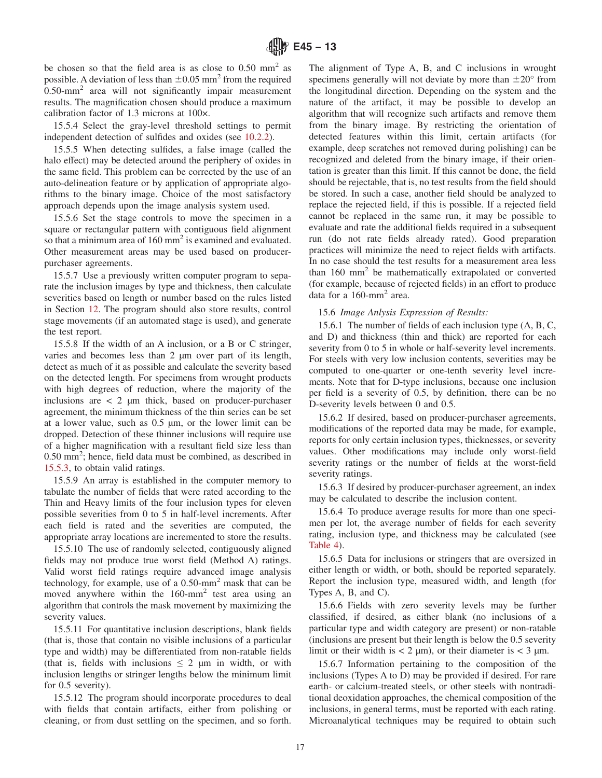be chosen so that the field area is as close to  $0.50$  mm<sup>2</sup> as possible. A deviation of less than  $\pm 0.05$  mm<sup>2</sup> from the required 0.50-mm2 area will not significantly impair measurement results. The magnification chosen should produce a maximum calibration factor of 1.3 microns at 100×.

15.5.4 Select the gray-level threshold settings to permit independent detection of sulfides and oxides (see [10.2.2\)](#page-5-0).

15.5.5 When detecting sulfides, a false image (called the halo effect) may be detected around the periphery of oxides in the same field. This problem can be corrected by the use of an auto-delineation feature or by application of appropriate algorithms to the binary image. Choice of the most satisfactory approach depends upon the image analysis system used.

15.5.6 Set the stage controls to move the specimen in a square or rectangular pattern with contiguous field alignment so that a minimum area of 160 mm<sup>2</sup> is examined and evaluated. Other measurement areas may be used based on producerpurchaser agreements.

15.5.7 Use a previously written computer program to separate the inclusion images by type and thickness, then calculate severities based on length or number based on the rules listed in Section [12.](#page-8-0) The program should also store results, control stage movements (if an automated stage is used), and generate the test report.

15.5.8 If the width of an A inclusion, or a B or C stringer, varies and becomes less than 2 µm over part of its length, detect as much of it as possible and calculate the severity based on the detected length. For specimens from wrought products with high degrees of reduction, where the majority of the inclusions are  $\langle 2 \rangle$  um thick, based on producer-purchaser agreement, the minimum thickness of the thin series can be set at a lower value, such as 0.5 µm, or the lower limit can be dropped. Detection of these thinner inclusions will require use of a higher magnification with a resultant field size less than 0.50 mm<sup>2</sup>; hence, field data must be combined, as described in [15.5.3,](#page-15-0) to obtain valid ratings.

15.5.9 An array is established in the computer memory to tabulate the number of fields that were rated according to the Thin and Heavy limits of the four inclusion types for eleven possible severities from 0 to 5 in half-level increments. After each field is rated and the severities are computed, the appropriate array locations are incremented to store the results.

15.5.10 The use of randomly selected, contiguously aligned fields may not produce true worst field (Method A) ratings. Valid worst field ratings require advanced image analysis technology, for example, use of a 0.50-mm2 mask that can be moved anywhere within the 160-mm<sup>2</sup> test area using an algorithm that controls the mask movement by maximizing the severity values.

15.5.11 For quantitative inclusion descriptions, blank fields (that is, those that contain no visible inclusions of a particular type and width) may be differentiated from non-ratable fields (that is, fields with inclusions  $\leq 2$  µm in width, or with inclusion lengths or stringer lengths below the minimum limit for 0.5 severity).

15.5.12 The program should incorporate procedures to deal with fields that contain artifacts, either from polishing or cleaning, or from dust settling on the specimen, and so forth. The alignment of Type A, B, and C inclusions in wrought specimens generally will not deviate by more than  $\pm 20^{\circ}$  from the longitudinal direction. Depending on the system and the nature of the artifact, it may be possible to develop an algorithm that will recognize such artifacts and remove them from the binary image. By restricting the orientation of detected features within this limit, certain artifacts (for example, deep scratches not removed during polishing) can be recognized and deleted from the binary image, if their orientation is greater than this limit. If this cannot be done, the field should be rejectable, that is, no test results from the field should be stored. In such a case, another field should be analyzed to replace the rejected field, if this is possible. If a rejected field cannot be replaced in the same run, it may be possible to evaluate and rate the additional fields required in a subsequent run (do not rate fields already rated). Good preparation practices will minimize the need to reject fields with artifacts. In no case should the test results for a measurement area less than  $160 \text{ mm}^2$  be mathematically extrapolated or converted (for example, because of rejected fields) in an effort to produce data for a 160-mm2 area.

## 15.6 *Image Anlysis Expression of Results:*

15.6.1 The number of fields of each inclusion type (A, B, C, and D) and thickness (thin and thick) are reported for each severity from 0 to 5 in whole or half-severity level increments. For steels with very low inclusion contents, severities may be computed to one-quarter or one-tenth severity level increments. Note that for D-type inclusions, because one inclusion per field is a severity of 0.5, by definition, there can be no D-severity levels between 0 and 0.5.

15.6.2 If desired, based on producer-purchaser agreements, modifications of the reported data may be made, for example, reports for only certain inclusion types, thicknesses, or severity values. Other modifications may include only worst-field severity ratings or the number of fields at the worst-field severity ratings.

15.6.3 If desired by producer-purchaser agreement, an index may be calculated to describe the inclusion content.

15.6.4 To produce average results for more than one specimen per lot, the average number of fields for each severity rating, inclusion type, and thickness may be calculated (see [Table 4\)](#page-11-0).

15.6.5 Data for inclusions or stringers that are oversized in either length or width, or both, should be reported separately. Report the inclusion type, measured width, and length (for Types A, B, and C).

15.6.6 Fields with zero severity levels may be further classified, if desired, as either blank (no inclusions of a particular type and width category are present) or non-ratable (inclusions are present but their length is below the 0.5 severity limit or their width is  $< 2 \mu m$ , or their diameter is  $< 3 \mu m$ .

15.6.7 Information pertaining to the composition of the inclusions (Types A to D) may be provided if desired. For rare earth- or calcium-treated steels, or other steels with nontraditional deoxidation approaches, the chemical composition of the inclusions, in general terms, must be reported with each rating. Microanalytical techniques may be required to obtain such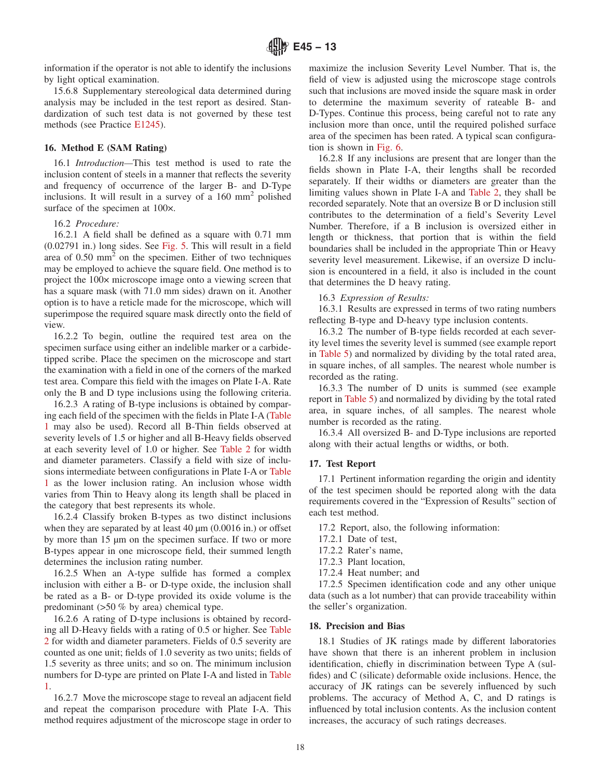<span id="page-17-0"></span>information if the operator is not able to identify the inclusions by light optical examination.

15.6.8 Supplementary stereological data determined during analysis may be included in the test report as desired. Standardization of such test data is not governed by these test methods (see Practice [E1245\)](#page-18-0).

#### **16. Method E (SAM Rating)**

16.1 *Introduction—*This test method is used to rate the inclusion content of steels in a manner that reflects the severity and frequency of occurrence of the larger B- and D-Type inclusions. It will result in a survey of a 160 mm2 polished surface of the specimen at 100×.

#### 16.2 *Procedure:*

16.2.1 A field shall be defined as a square with 0.71 mm (0.02791 in.) long sides. See [Fig. 5.](#page-7-0) This will result in a field area of  $0.50 \text{ mm}^2$  on the specimen. Either of two techniques may be employed to achieve the square field. One method is to project the 100× microscope image onto a viewing screen that has a square mask (with 71.0 mm sides) drawn on it. Another option is to have a reticle made for the microscope, which will superimpose the required square mask directly onto the field of view.

16.2.2 To begin, outline the required test area on the specimen surface using either an indelible marker or a carbidetipped scribe. Place the specimen on the microscope and start the examination with a field in one of the corners of the marked test area. Compare this field with the images on Plate I-A. Rate only the B and D type inclusions using the following criteria.

16.2.3 A rating of B-type inclusions is obtained by comparing each field of the specimen with the fields in Plate I-A [\(Table](#page-6-0) [1](#page-6-0) may also be used). Record all B-Thin fields observed at severity levels of 1.5 or higher and all B-Heavy fields observed at each severity level of 1.0 or higher. See [Table 2](#page-6-0) for width and diameter parameters. Classify a field with size of inclusions intermediate between configurations in Plate I-A or [Table](#page-6-0) [1](#page-6-0) as the lower inclusion rating. An inclusion whose width varies from Thin to Heavy along its length shall be placed in the category that best represents its whole.

16.2.4 Classify broken B-types as two distinct inclusions when they are separated by at least  $40 \mu m$  (0.0016 in.) or offset by more than 15 µm on the specimen surface. If two or more B-types appear in one microscope field, their summed length determines the inclusion rating number.

16.2.5 When an A-type sulfide has formed a complex inclusion with either a B- or D-type oxide, the inclusion shall be rated as a B- or D-type provided its oxide volume is the predominant (>50 % by area) chemical type.

16.2.6 A rating of D-type inclusions is obtained by recording all D-Heavy fields with a rating of 0.5 or higher. See [Table](#page-6-0) [2](#page-6-0) for width and diameter parameters. Fields of 0.5 severity are counted as one unit; fields of 1.0 severity as two units; fields of 1.5 severity as three units; and so on. The minimum inclusion numbers for D-type are printed on Plate I-A and listed in [Table](#page-6-0) [1.](#page-6-0)

16.2.7 Move the microscope stage to reveal an adjacent field and repeat the comparison procedure with Plate I-A. This method requires adjustment of the microscope stage in order to maximize the inclusion Severity Level Number. That is, the field of view is adjusted using the microscope stage controls such that inclusions are moved inside the square mask in order to determine the maximum severity of rateable B- and D-Types. Continue this process, being careful not to rate any inclusion more than once, until the required polished surface area of the specimen has been rated. A typical scan configuration is shown in [Fig. 6.](#page-8-0)

16.2.8 If any inclusions are present that are longer than the fields shown in Plate I-A, their lengths shall be recorded separately. If their widths or diameters are greater than the limiting values shown in Plate I-A and [Table 2,](#page-6-0) they shall be recorded separately. Note that an oversize B or D inclusion still contributes to the determination of a field's Severity Level Number. Therefore, if a B inclusion is oversized either in length or thickness, that portion that is within the field boundaries shall be included in the appropriate Thin or Heavy severity level measurement. Likewise, if an oversize D inclusion is encountered in a field, it also is included in the count that determines the D heavy rating.

## 16.3 *Expression of Results:*

16.3.1 Results are expressed in terms of two rating numbers reflecting B-type and D-heavy type inclusion contents.

16.3.2 The number of B-type fields recorded at each severity level times the severity level is summed (see example report in [Table 5\)](#page-11-0) and normalized by dividing by the total rated area, in square inches, of all samples. The nearest whole number is recorded as the rating.

16.3.3 The number of D units is summed (see example report in [Table 5\)](#page-11-0) and normalized by dividing by the total rated area, in square inches, of all samples. The nearest whole number is recorded as the rating.

16.3.4 All oversized B- and D-Type inclusions are reported along with their actual lengths or widths, or both.

## **17. Test Report**

17.1 Pertinent information regarding the origin and identity of the test specimen should be reported along with the data requirements covered in the "Expression of Results" section of each test method.

17.2 Report, also, the following information:

- 17.2.1 Date of test,
- 17.2.2 Rater's name,
- 17.2.3 Plant location,
- 17.2.4 Heat number; and

17.2.5 Specimen identification code and any other unique data (such as a lot number) that can provide traceability within the seller's organization.

#### **18. Precision and Bias**

18.1 Studies of JK ratings made by different laboratories have shown that there is an inherent problem in inclusion identification, chiefly in discrimination between Type A (sulfides) and C (silicate) deformable oxide inclusions. Hence, the accuracy of JK ratings can be severely influenced by such problems. The accuracy of Method A, C, and D ratings is influenced by total inclusion contents. As the inclusion content increases, the accuracy of such ratings decreases.